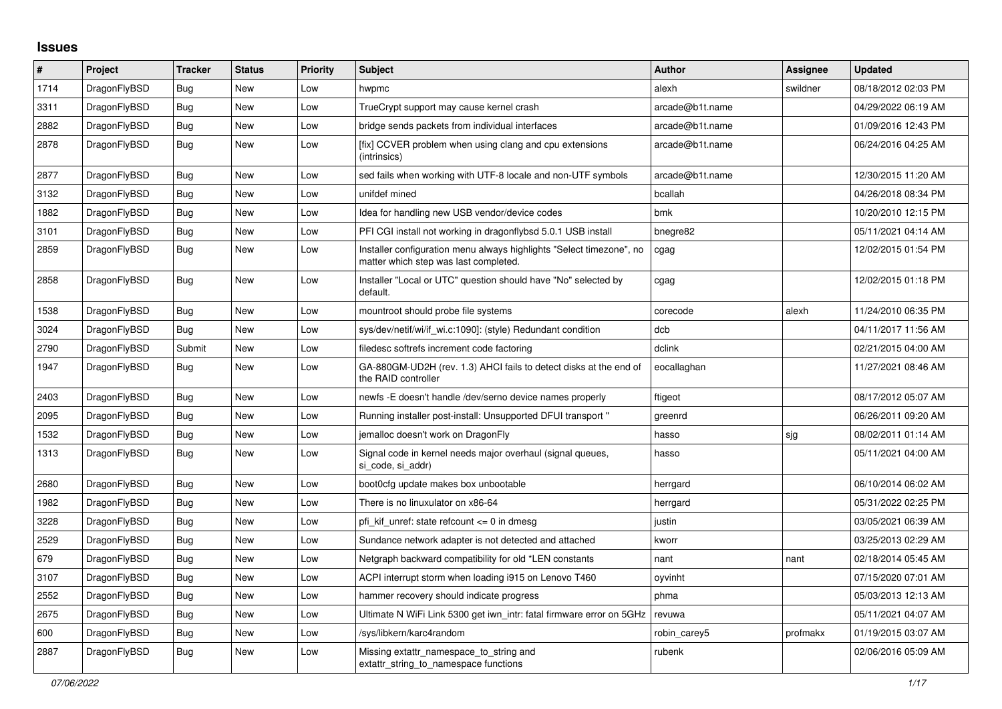## **Issues**

| $\vert$ # | <b>Project</b> | <b>Tracker</b> | <b>Status</b> | <b>Priority</b> | <b>Subject</b>                                                                                                | <b>Author</b>   | <b>Assignee</b> | <b>Updated</b>      |
|-----------|----------------|----------------|---------------|-----------------|---------------------------------------------------------------------------------------------------------------|-----------------|-----------------|---------------------|
| 1714      | DragonFlyBSD   | <b>Bug</b>     | <b>New</b>    | Low             | hwpmc                                                                                                         | alexh           | swildner        | 08/18/2012 02:03 PM |
| 3311      | DragonFlyBSD   | Bug            | <b>New</b>    | Low             | TrueCrypt support may cause kernel crash                                                                      | arcade@b1t.name |                 | 04/29/2022 06:19 AM |
| 2882      | DragonFlyBSD   | Bug            | New           | Low             | bridge sends packets from individual interfaces                                                               | arcade@b1t.name |                 | 01/09/2016 12:43 PM |
| 2878      | DragonFlyBSD   | <b>Bug</b>     | New           | Low             | [fix] CCVER problem when using clang and cpu extensions<br>(intrinsics)                                       | arcade@b1t.name |                 | 06/24/2016 04:25 AM |
| 2877      | DragonFlyBSD   | <b>Bug</b>     | <b>New</b>    | Low             | sed fails when working with UTF-8 locale and non-UTF symbols                                                  | arcade@b1t.name |                 | 12/30/2015 11:20 AM |
| 3132      | DragonFlyBSD   | Bug            | New           | Low             | unifdef mined                                                                                                 | bcallah         |                 | 04/26/2018 08:34 PM |
| 1882      | DragonFlyBSD   | <b>Bug</b>     | <b>New</b>    | Low             | Idea for handling new USB vendor/device codes                                                                 | bmk             |                 | 10/20/2010 12:15 PM |
| 3101      | DragonFlyBSD   | Bug            | New           | Low             | PFI CGI install not working in dragonflybsd 5.0.1 USB install                                                 | bnegre82        |                 | 05/11/2021 04:14 AM |
| 2859      | DragonFlyBSD   | Bug            | New           | Low             | Installer configuration menu always highlights "Select timezone", no<br>matter which step was last completed. | cgag            |                 | 12/02/2015 01:54 PM |
| 2858      | DragonFlyBSD   | <b>Bug</b>     | <b>New</b>    | Low             | Installer "Local or UTC" question should have "No" selected by<br>default.                                    | cgag            |                 | 12/02/2015 01:18 PM |
| 1538      | DragonFlyBSD   | Bug            | <b>New</b>    | Low             | mountroot should probe file systems                                                                           | corecode        | alexh           | 11/24/2010 06:35 PM |
| 3024      | DragonFlyBSD   | Bug            | New           | Low             | sys/dev/netif/wi/if wi.c:1090]: (style) Redundant condition                                                   | dcb             |                 | 04/11/2017 11:56 AM |
| 2790      | DragonFlyBSD   | Submit         | <b>New</b>    | Low             | filedesc softrefs increment code factoring                                                                    | dclink          |                 | 02/21/2015 04:00 AM |
| 1947      | DragonFlyBSD   | Bug            | <b>New</b>    | Low             | GA-880GM-UD2H (rev. 1.3) AHCI fails to detect disks at the end of<br>the RAID controller                      | eocallaghan     |                 | 11/27/2021 08:46 AM |
| 2403      | DragonFlyBSD   | Bug            | <b>New</b>    | Low             | newfs - E doesn't handle / dev/serno device names properly                                                    | ftigeot         |                 | 08/17/2012 05:07 AM |
| 2095      | DragonFlyBSD   | Bug            | <b>New</b>    | Low             | Running installer post-install: Unsupported DFUI transport "                                                  | greenrd         |                 | 06/26/2011 09:20 AM |
| 1532      | DragonFlyBSD   | <b>Bug</b>     | <b>New</b>    | Low             | jemalloc doesn't work on DragonFly                                                                            | hasso           | sjg             | 08/02/2011 01:14 AM |
| 1313      | DragonFlyBSD   | <b>Bug</b>     | New           | Low             | Signal code in kernel needs major overhaul (signal queues,<br>si code, si addr)                               | hasso           |                 | 05/11/2021 04:00 AM |
| 2680      | DragonFlyBSD   | Bug            | New           | Low             | boot0cfg update makes box unbootable                                                                          | herrgard        |                 | 06/10/2014 06:02 AM |
| 1982      | DragonFlyBSD   | Bug            | New           | Low             | There is no linuxulator on x86-64                                                                             | herrgard        |                 | 05/31/2022 02:25 PM |
| 3228      | DragonFlyBSD   | <b>Bug</b>     | <b>New</b>    | Low             | pfi kif unref: state refcount $\leq$ 0 in dmesq                                                               | justin          |                 | 03/05/2021 06:39 AM |
| 2529      | DragonFlyBSD   | <b>Bug</b>     | <b>New</b>    | Low             | Sundance network adapter is not detected and attached                                                         | kworr           |                 | 03/25/2013 02:29 AM |
| 679       | DragonFlyBSD   | <b>Bug</b>     | New           | Low             | Netgraph backward compatibility for old *LEN constants                                                        | nant            | nant            | 02/18/2014 05:45 AM |
| 3107      | DragonFlyBSD   | Bug            | New           | Low             | ACPI interrupt storm when loading i915 on Lenovo T460                                                         | oyvinht         |                 | 07/15/2020 07:01 AM |
| 2552      | DragonFlyBSD   | Bug            | New           | Low             | hammer recovery should indicate progress                                                                      | phma            |                 | 05/03/2013 12:13 AM |
| 2675      | DragonFlyBSD   | Bug            | New           | Low             | Ultimate N WiFi Link 5300 get iwn intr: fatal firmware error on 5GHz                                          | revuwa          |                 | 05/11/2021 04:07 AM |
| 600       | DragonFlyBSD   | Bug            | <b>New</b>    | Low             | /sys/libkern/karc4random                                                                                      | robin carey5    | profmakx        | 01/19/2015 03:07 AM |
| 2887      | DragonFlyBSD   | Bug            | <b>New</b>    | Low             | Missing extattr_namespace_to_string and<br>extattr_string_to_namespace functions                              | rubenk          |                 | 02/06/2016 05:09 AM |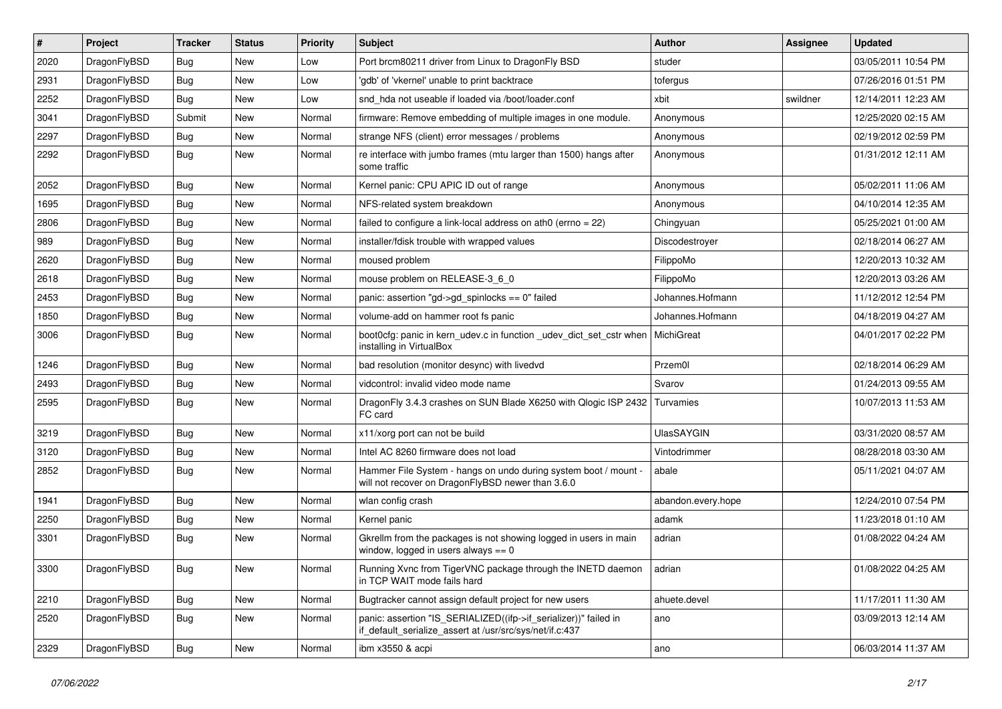| $\pmb{\#}$ | Project      | <b>Tracker</b> | <b>Status</b> | <b>Priority</b> | <b>Subject</b>                                                                                                               | <b>Author</b>      | <b>Assignee</b> | <b>Updated</b>      |
|------------|--------------|----------------|---------------|-----------------|------------------------------------------------------------------------------------------------------------------------------|--------------------|-----------------|---------------------|
| 2020       | DragonFlyBSD | Bug            | <b>New</b>    | Low             | Port brcm80211 driver from Linux to DragonFly BSD                                                                            | studer             |                 | 03/05/2011 10:54 PM |
| 2931       | DragonFlyBSD | Bug            | <b>New</b>    | Low             | 'gdb' of 'vkernel' unable to print backtrace                                                                                 | tofergus           |                 | 07/26/2016 01:51 PM |
| 2252       | DragonFlyBSD | <b>Bug</b>     | <b>New</b>    | Low             | snd hda not useable if loaded via /boot/loader.conf                                                                          | xbit               | swildner        | 12/14/2011 12:23 AM |
| 3041       | DragonFlyBSD | Submit         | <b>New</b>    | Normal          | firmware: Remove embedding of multiple images in one module.                                                                 | Anonymous          |                 | 12/25/2020 02:15 AM |
| 2297       | DragonFlyBSD | <b>Bug</b>     | <b>New</b>    | Normal          | strange NFS (client) error messages / problems                                                                               | Anonymous          |                 | 02/19/2012 02:59 PM |
| 2292       | DragonFlyBSD | Bug            | <b>New</b>    | Normal          | re interface with jumbo frames (mtu larger than 1500) hangs after<br>some traffic                                            | Anonymous          |                 | 01/31/2012 12:11 AM |
| 2052       | DragonFlyBSD | <b>Bug</b>     | <b>New</b>    | Normal          | Kernel panic: CPU APIC ID out of range                                                                                       | Anonymous          |                 | 05/02/2011 11:06 AM |
| 1695       | DragonFlyBSD | Bug            | <b>New</b>    | Normal          | NFS-related system breakdown                                                                                                 | Anonymous          |                 | 04/10/2014 12:35 AM |
| 2806       | DragonFlyBSD | Bug            | <b>New</b>    | Normal          | failed to configure a link-local address on ath0 (errno = 22)                                                                | Chingyuan          |                 | 05/25/2021 01:00 AM |
| 989        | DragonFlyBSD | <b>Bug</b>     | New           | Normal          | installer/fdisk trouble with wrapped values                                                                                  | Discodestroyer     |                 | 02/18/2014 06:27 AM |
| 2620       | DragonFlyBSD | Bug            | <b>New</b>    | Normal          | moused problem                                                                                                               | FilippoMo          |                 | 12/20/2013 10:32 AM |
| 2618       | DragonFlyBSD | <b>Bug</b>     | <b>New</b>    | Normal          | mouse problem on RELEASE-3_6_0                                                                                               | FilippoMo          |                 | 12/20/2013 03:26 AM |
| 2453       | DragonFlyBSD | <b>Bug</b>     | <b>New</b>    | Normal          | panic: assertion "gd->gd_spinlocks == 0" failed                                                                              | Johannes.Hofmann   |                 | 11/12/2012 12:54 PM |
| 1850       | DragonFlyBSD | <b>Bug</b>     | <b>New</b>    | Normal          | volume-add on hammer root fs panic                                                                                           | Johannes.Hofmann   |                 | 04/18/2019 04:27 AM |
| 3006       | DragonFlyBSD | Bug            | <b>New</b>    | Normal          | boot0cfg: panic in kern_udev.c in function _udev_dict_set_cstr when<br>installing in VirtualBox                              | MichiGreat         |                 | 04/01/2017 02:22 PM |
| 1246       | DragonFlyBSD | <b>Bug</b>     | <b>New</b>    | Normal          | bad resolution (monitor desync) with livedvd                                                                                 | Przem0l            |                 | 02/18/2014 06:29 AM |
| 2493       | DragonFlyBSD | Bug            | <b>New</b>    | Normal          | vidcontrol: invalid video mode name                                                                                          | Svarov             |                 | 01/24/2013 09:55 AM |
| 2595       | DragonFlyBSD | Bug            | <b>New</b>    | Normal          | DragonFly 3.4.3 crashes on SUN Blade X6250 with Qlogic ISP 2432<br>FC card                                                   | Turvamies          |                 | 10/07/2013 11:53 AM |
| 3219       | DragonFlyBSD | Bug            | <b>New</b>    | Normal          | x11/xorg port can not be build                                                                                               | <b>UlasSAYGIN</b>  |                 | 03/31/2020 08:57 AM |
| 3120       | DragonFlyBSD | <b>Bug</b>     | <b>New</b>    | Normal          | Intel AC 8260 firmware does not load                                                                                         | Vintodrimmer       |                 | 08/28/2018 03:30 AM |
| 2852       | DragonFlyBSD | <b>Bug</b>     | <b>New</b>    | Normal          | Hammer File System - hangs on undo during system boot / mount -<br>will not recover on DragonFlyBSD newer than 3.6.0         | abale              |                 | 05/11/2021 04:07 AM |
| 1941       | DragonFlyBSD | <b>Bug</b>     | <b>New</b>    | Normal          | wlan config crash                                                                                                            | abandon.every.hope |                 | 12/24/2010 07:54 PM |
| 2250       | DragonFlyBSD | <b>Bug</b>     | <b>New</b>    | Normal          | Kernel panic                                                                                                                 | adamk              |                 | 11/23/2018 01:10 AM |
| 3301       | DragonFlyBSD | <b>Bug</b>     | <b>New</b>    | Normal          | Gkrellm from the packages is not showing logged in users in main<br>window, logged in users always $== 0$                    | adrian             |                 | 01/08/2022 04:24 AM |
| 3300       | DragonFlyBSD | <b>Bug</b>     | New           | Normal          | Running Xvnc from TigerVNC package through the INETD daemon   adrian<br>in TCP WAIT mode fails hard                          |                    |                 | 01/08/2022 04:25 AM |
| 2210       | DragonFlyBSD | Bug            | New           | Normal          | Bugtracker cannot assign default project for new users                                                                       | ahuete.devel       |                 | 11/17/2011 11:30 AM |
| 2520       | DragonFlyBSD | <b>Bug</b>     | New           | Normal          | panic: assertion "IS SERIALIZED((ifp->if serializer))" failed in<br>if_default_serialize_assert at /usr/src/sys/net/if.c:437 | ano                |                 | 03/09/2013 12:14 AM |
| 2329       | DragonFlyBSD | <b>Bug</b>     | New           | Normal          | ibm x3550 & acpi                                                                                                             | ano                |                 | 06/03/2014 11:37 AM |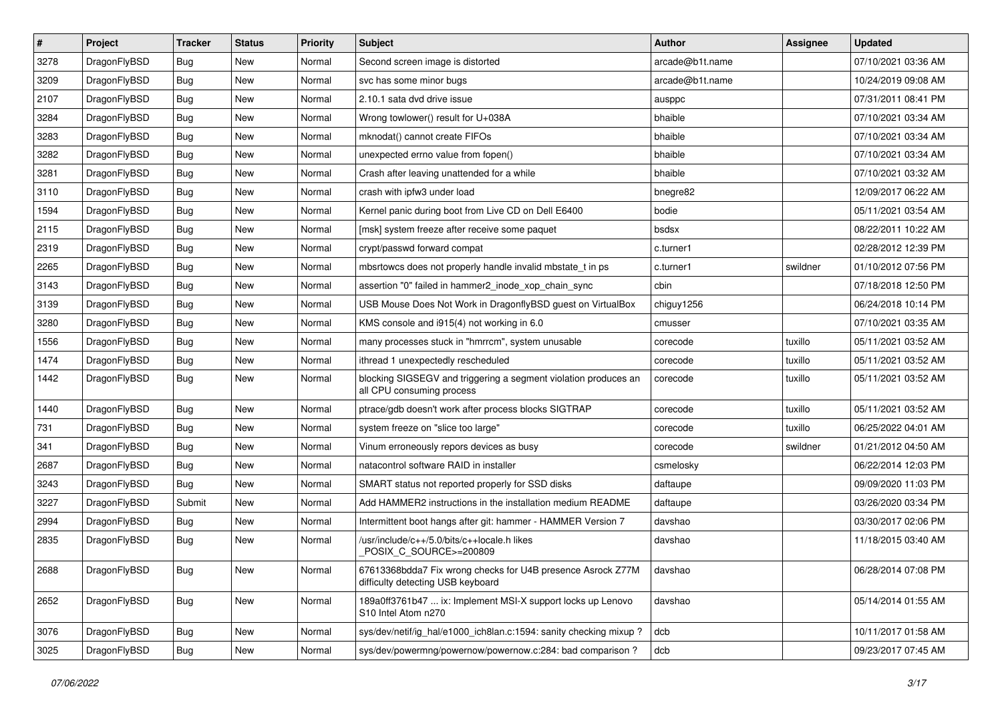| $\vert$ # | Project      | <b>Tracker</b> | <b>Status</b> | <b>Priority</b> | <b>Subject</b>                                                                                   | <b>Author</b>   | <b>Assignee</b> | <b>Updated</b>      |
|-----------|--------------|----------------|---------------|-----------------|--------------------------------------------------------------------------------------------------|-----------------|-----------------|---------------------|
| 3278      | DragonFlyBSD | Bug            | <b>New</b>    | Normal          | Second screen image is distorted                                                                 | arcade@b1t.name |                 | 07/10/2021 03:36 AM |
| 3209      | DragonFlyBSD | Bug            | <b>New</b>    | Normal          | svc has some minor bugs                                                                          | arcade@b1t.name |                 | 10/24/2019 09:08 AM |
| 2107      | DragonFlyBSD | Bug            | <b>New</b>    | Normal          | 2.10.1 sata dvd drive issue                                                                      | ausppc          |                 | 07/31/2011 08:41 PM |
| 3284      | DragonFlyBSD | Bug            | <b>New</b>    | Normal          | Wrong towlower() result for U+038A                                                               | bhaible         |                 | 07/10/2021 03:34 AM |
| 3283      | DragonFlyBSD | <b>Bug</b>     | <b>New</b>    | Normal          | mknodat() cannot create FIFOs                                                                    | bhaible         |                 | 07/10/2021 03:34 AM |
| 3282      | DragonFlyBSD | <b>Bug</b>     | New           | Normal          | unexpected errno value from fopen()                                                              | bhaible         |                 | 07/10/2021 03:34 AM |
| 3281      | DragonFlyBSD | Bug            | <b>New</b>    | Normal          | Crash after leaving unattended for a while                                                       | bhaible         |                 | 07/10/2021 03:32 AM |
| 3110      | DragonFlyBSD | Bug            | <b>New</b>    | Normal          | crash with ipfw3 under load                                                                      | bnegre82        |                 | 12/09/2017 06:22 AM |
| 1594      | DragonFlyBSD | <b>Bug</b>     | <b>New</b>    | Normal          | Kernel panic during boot from Live CD on Dell E6400                                              | bodie           |                 | 05/11/2021 03:54 AM |
| 2115      | DragonFlyBSD | <b>Bug</b>     | <b>New</b>    | Normal          | [msk] system freeze after receive some paquet                                                    | bsdsx           |                 | 08/22/2011 10:22 AM |
| 2319      | DragonFlyBSD | Bug            | <b>New</b>    | Normal          | crypt/passwd forward compat                                                                      | c.turner1       |                 | 02/28/2012 12:39 PM |
| 2265      | DragonFlyBSD | Bug            | <b>New</b>    | Normal          | mbsrtowcs does not properly handle invalid mbstate_t in ps                                       | c.turner1       | swildner        | 01/10/2012 07:56 PM |
| 3143      | DragonFlyBSD | <b>Bug</b>     | <b>New</b>    | Normal          | assertion "0" failed in hammer2 inode xop chain sync                                             | cbin            |                 | 07/18/2018 12:50 PM |
| 3139      | DragonFlyBSD | <b>Bug</b>     | <b>New</b>    | Normal          | USB Mouse Does Not Work in DragonflyBSD guest on VirtualBox                                      | chiguy1256      |                 | 06/24/2018 10:14 PM |
| 3280      | DragonFlyBSD | <b>Bug</b>     | <b>New</b>    | Normal          | KMS console and i915(4) not working in 6.0                                                       | cmusser         |                 | 07/10/2021 03:35 AM |
| 1556      | DragonFlyBSD | <b>Bug</b>     | <b>New</b>    | Normal          | many processes stuck in "hmrrcm", system unusable                                                | corecode        | tuxillo         | 05/11/2021 03:52 AM |
| 1474      | DragonFlyBSD | Bug            | <b>New</b>    | Normal          | ithread 1 unexpectedly rescheduled                                                               | corecode        | tuxillo         | 05/11/2021 03:52 AM |
| 1442      | DragonFlyBSD | Bug            | <b>New</b>    | Normal          | blocking SIGSEGV and triggering a segment violation produces an<br>all CPU consuming process     | corecode        | tuxillo         | 05/11/2021 03:52 AM |
| 1440      | DragonFlyBSD | Bug            | <b>New</b>    | Normal          | ptrace/gdb doesn't work after process blocks SIGTRAP                                             | corecode        | tuxillo         | 05/11/2021 03:52 AM |
| 731       | DragonFlyBSD | Bug            | <b>New</b>    | Normal          | system freeze on "slice too large"                                                               | corecode        | tuxillo         | 06/25/2022 04:01 AM |
| 341       | DragonFlyBSD | <b>Bug</b>     | <b>New</b>    | Normal          | Vinum erroneously repors devices as busy                                                         | corecode        | swildner        | 01/21/2012 04:50 AM |
| 2687      | DragonFlyBSD | <b>Bug</b>     | <b>New</b>    | Normal          | natacontrol software RAID in installer                                                           | csmelosky       |                 | 06/22/2014 12:03 PM |
| 3243      | DragonFlyBSD | <b>Bug</b>     | <b>New</b>    | Normal          | SMART status not reported properly for SSD disks                                                 | daftaupe        |                 | 09/09/2020 11:03 PM |
| 3227      | DragonFlyBSD | Submit         | <b>New</b>    | Normal          | Add HAMMER2 instructions in the installation medium README                                       | daftaupe        |                 | 03/26/2020 03:34 PM |
| 2994      | DragonFlyBSD | <b>Bug</b>     | <b>New</b>    | Normal          | Intermittent boot hangs after git: hammer - HAMMER Version 7                                     | davshao         |                 | 03/30/2017 02:06 PM |
| 2835      | DragonFlyBSD | Bug            | New           | Normal          | /usr/include/c++/5.0/bits/c++locale.h likes<br>POSIX_C_SOURCE>=200809                            | davshao         |                 | 11/18/2015 03:40 AM |
| 2688      | DragonFlyBSD | Bug            | New           | Normal          | 67613368bdda7 Fix wrong checks for U4B presence Asrock Z77M<br>difficulty detecting USB keyboard | davshao         |                 | 06/28/2014 07:08 PM |
| 2652      | DragonFlyBSD | <b>Bug</b>     | New           | Normal          | 189a0ff3761b47  ix: Implement MSI-X support locks up Lenovo<br>S10 Intel Atom n270               | davshao         |                 | 05/14/2014 01:55 AM |
| 3076      | DragonFlyBSD | <b>Bug</b>     | New           | Normal          | sys/dev/netif/ig_hal/e1000_ich8lan.c:1594: sanity checking mixup?                                | dcb             |                 | 10/11/2017 01:58 AM |
| 3025      | DragonFlyBSD | <b>Bug</b>     | New           | Normal          | sys/dev/powermng/powernow/powernow.c:284: bad comparison?                                        | dcb             |                 | 09/23/2017 07:45 AM |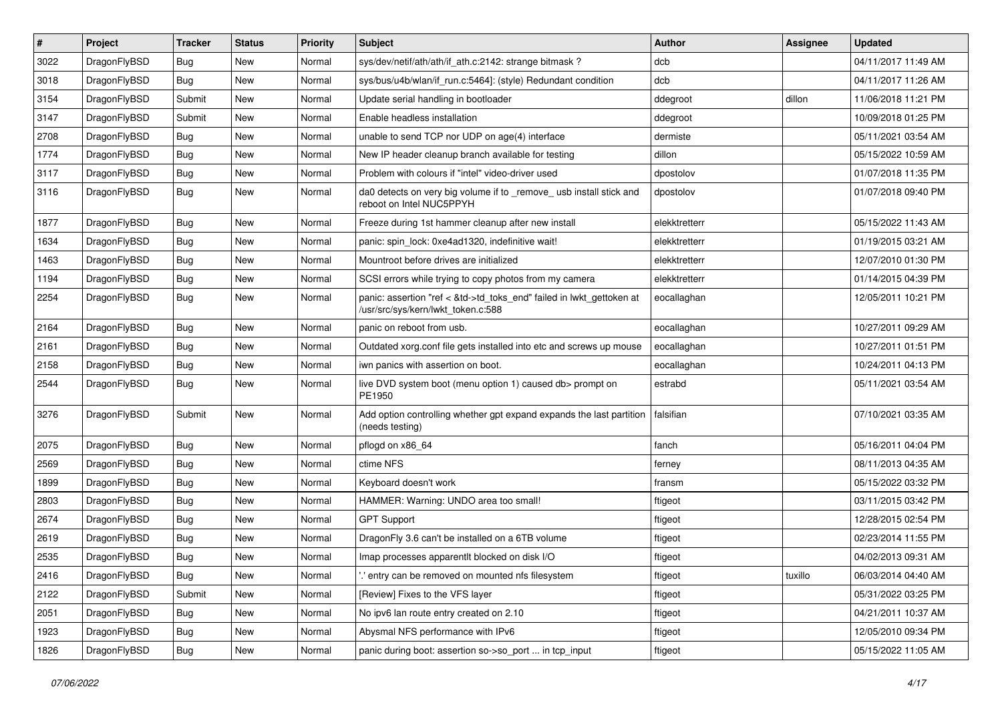| $\vert$ # | Project      | <b>Tracker</b> | <b>Status</b> | <b>Priority</b> | <b>Subject</b>                                                                                             | <b>Author</b> | Assignee | <b>Updated</b>      |
|-----------|--------------|----------------|---------------|-----------------|------------------------------------------------------------------------------------------------------------|---------------|----------|---------------------|
| 3022      | DragonFlyBSD | <b>Bug</b>     | <b>New</b>    | Normal          | sys/dev/netif/ath/ath/if_ath.c:2142: strange bitmask?                                                      | dcb           |          | 04/11/2017 11:49 AM |
| 3018      | DragonFlyBSD | <b>Bug</b>     | <b>New</b>    | Normal          | sys/bus/u4b/wlan/if_run.c:5464]: (style) Redundant condition                                               | dcb           |          | 04/11/2017 11:26 AM |
| 3154      | DragonFlyBSD | Submit         | <b>New</b>    | Normal          | Update serial handling in bootloader                                                                       | ddegroot      | dillon   | 11/06/2018 11:21 PM |
| 3147      | DragonFlyBSD | Submit         | <b>New</b>    | Normal          | Enable headless installation                                                                               | ddegroot      |          | 10/09/2018 01:25 PM |
| 2708      | DragonFlyBSD | <b>Bug</b>     | <b>New</b>    | Normal          | unable to send TCP nor UDP on age(4) interface                                                             | dermiste      |          | 05/11/2021 03:54 AM |
| 1774      | DragonFlyBSD | Bug            | <b>New</b>    | Normal          | New IP header cleanup branch available for testing                                                         | dillon        |          | 05/15/2022 10:59 AM |
| 3117      | DragonFlyBSD | Bug            | <b>New</b>    | Normal          | Problem with colours if "intel" video-driver used                                                          | dpostolov     |          | 01/07/2018 11:35 PM |
| 3116      | DragonFlyBSD | Bug            | New           | Normal          | da0 detects on very big volume if to _remove_ usb install stick and<br>reboot on Intel NUC5PPYH            | dpostolov     |          | 01/07/2018 09:40 PM |
| 1877      | DragonFlyBSD | Bug            | <b>New</b>    | Normal          | Freeze during 1st hammer cleanup after new install                                                         | elekktretterr |          | 05/15/2022 11:43 AM |
| 1634      | DragonFlyBSD | <b>Bug</b>     | <b>New</b>    | Normal          | panic: spin lock: 0xe4ad1320, indefinitive wait!                                                           | elekktretterr |          | 01/19/2015 03:21 AM |
| 1463      | DragonFlyBSD | Bug            | <b>New</b>    | Normal          | Mountroot before drives are initialized                                                                    | elekktretterr |          | 12/07/2010 01:30 PM |
| 1194      | DragonFlyBSD | <b>Bug</b>     | <b>New</b>    | Normal          | SCSI errors while trying to copy photos from my camera                                                     | elekktretterr |          | 01/14/2015 04:39 PM |
| 2254      | DragonFlyBSD | Bug            | New           | Normal          | panic: assertion "ref < &td->td_toks_end" failed in lwkt_gettoken at<br>/usr/src/sys/kern/lwkt_token.c:588 | eocallaghan   |          | 12/05/2011 10:21 PM |
| 2164      | DragonFlyBSD | <b>Bug</b>     | <b>New</b>    | Normal          | panic on reboot from usb.                                                                                  | eocallaghan   |          | 10/27/2011 09:29 AM |
| 2161      | DragonFlyBSD | Bug            | <b>New</b>    | Normal          | Outdated xorg.conf file gets installed into etc and screws up mouse                                        | eocallaghan   |          | 10/27/2011 01:51 PM |
| 2158      | DragonFlyBSD | <b>Bug</b>     | <b>New</b>    | Normal          | iwn panics with assertion on boot.                                                                         | eocallaghan   |          | 10/24/2011 04:13 PM |
| 2544      | DragonFlyBSD | Bug            | New           | Normal          | live DVD system boot (menu option 1) caused db> prompt on<br>PE1950                                        | estrabd       |          | 05/11/2021 03:54 AM |
| 3276      | DragonFlyBSD | Submit         | New           | Normal          | Add option controlling whether gpt expand expands the last partition<br>(needs testing)                    | falsifian     |          | 07/10/2021 03:35 AM |
| 2075      | DragonFlyBSD | Bug            | <b>New</b>    | Normal          | pflogd on x86_64                                                                                           | fanch         |          | 05/16/2011 04:04 PM |
| 2569      | DragonFlyBSD | <b>Bug</b>     | <b>New</b>    | Normal          | ctime NFS                                                                                                  | ferney        |          | 08/11/2013 04:35 AM |
| 1899      | DragonFlyBSD | Bug            | <b>New</b>    | Normal          | Keyboard doesn't work                                                                                      | fransm        |          | 05/15/2022 03:32 PM |
| 2803      | DragonFlyBSD | <b>Bug</b>     | <b>New</b>    | Normal          | HAMMER: Warning: UNDO area too small!                                                                      | ftigeot       |          | 03/11/2015 03:42 PM |
| 2674      | DragonFlyBSD | <b>Bug</b>     | <b>New</b>    | Normal          | <b>GPT Support</b>                                                                                         | ftigeot       |          | 12/28/2015 02:54 PM |
| 2619      | DragonFlyBSD | Bug            | New           | Normal          | DragonFly 3.6 can't be installed on a 6TB volume                                                           | ftigeot       |          | 02/23/2014 11:55 PM |
| 2535      | DragonFlyBSD | Bug            | <b>New</b>    | Normal          | Imap processes apparentlt blocked on disk I/O                                                              | ftigeot       |          | 04/02/2013 09:31 AM |
| 2416      | DragonFlyBSD | <b>Bug</b>     | New           | Normal          | ".' entry can be removed on mounted nfs filesystem                                                         | ftigeot       | tuxillo  | 06/03/2014 04:40 AM |
| 2122      | DragonFlyBSD | Submit         | New           | Normal          | [Review] Fixes to the VFS layer                                                                            | ftigeot       |          | 05/31/2022 03:25 PM |
| 2051      | DragonFlyBSD | <b>Bug</b>     | New           | Normal          | No ipv6 lan route entry created on 2.10                                                                    | ftigeot       |          | 04/21/2011 10:37 AM |
| 1923      | DragonFlyBSD | <b>Bug</b>     | New           | Normal          | Abysmal NFS performance with IPv6                                                                          | ftigeot       |          | 12/05/2010 09:34 PM |
| 1826      | DragonFlyBSD | <b>Bug</b>     | New           | Normal          | panic during boot: assertion so->so_port  in tcp_input                                                     | ftigeot       |          | 05/15/2022 11:05 AM |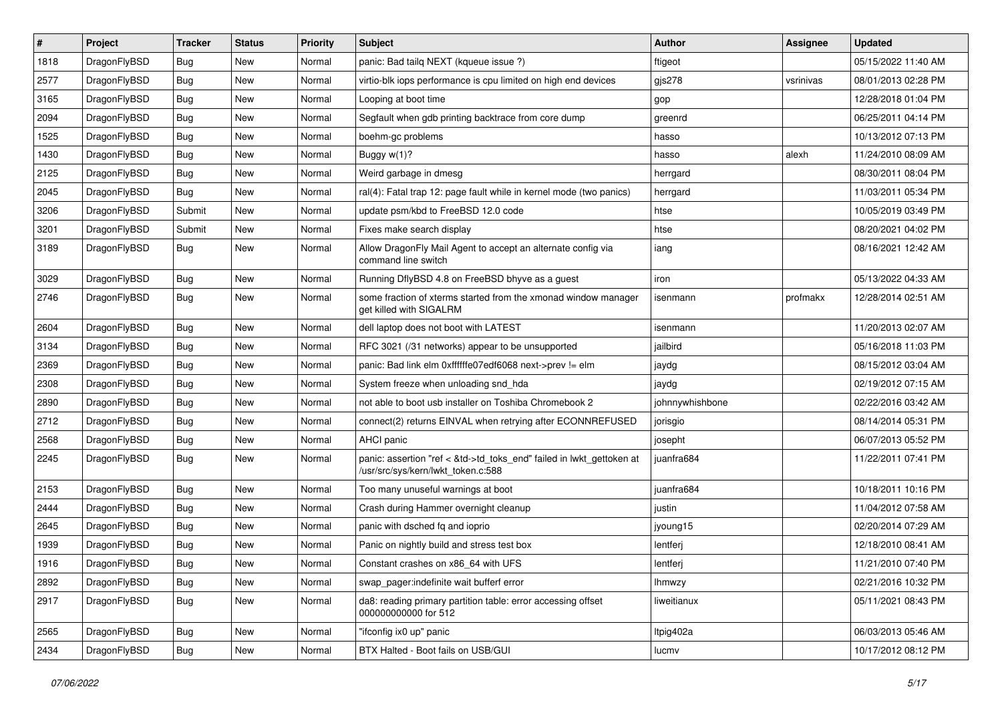| $\sharp$ | Project      | <b>Tracker</b> | <b>Status</b> | <b>Priority</b> | Subject                                                                                                    | <b>Author</b>   | Assignee  | <b>Updated</b>      |
|----------|--------------|----------------|---------------|-----------------|------------------------------------------------------------------------------------------------------------|-----------------|-----------|---------------------|
| 1818     | DragonFlyBSD | Bug            | New           | Normal          | panic: Bad tailq NEXT (kqueue issue ?)                                                                     | ftigeot         |           | 05/15/2022 11:40 AM |
| 2577     | DragonFlyBSD | Bug            | New           | Normal          | virtio-blk iops performance is cpu limited on high end devices                                             | gjs278          | vsrinivas | 08/01/2013 02:28 PM |
| 3165     | DragonFlyBSD | Bug            | New           | Normal          | Looping at boot time                                                                                       | gop             |           | 12/28/2018 01:04 PM |
| 2094     | DragonFlyBSD | Bug            | New           | Normal          | Segfault when gdb printing backtrace from core dump                                                        | greenrd         |           | 06/25/2011 04:14 PM |
| 1525     | DragonFlyBSD | Bug            | <b>New</b>    | Normal          | boehm-gc problems                                                                                          | hasso           |           | 10/13/2012 07:13 PM |
| 1430     | DragonFlyBSD | Bug            | <b>New</b>    | Normal          | Buggy w(1)?                                                                                                | hasso           | alexh     | 11/24/2010 08:09 AM |
| 2125     | DragonFlyBSD | Bug            | New           | Normal          | Weird garbage in dmesg                                                                                     | herrgard        |           | 08/30/2011 08:04 PM |
| 2045     | DragonFlyBSD | Bug            | <b>New</b>    | Normal          | ral(4): Fatal trap 12: page fault while in kernel mode (two panics)                                        | herrgard        |           | 11/03/2011 05:34 PM |
| 3206     | DragonFlyBSD | Submit         | <b>New</b>    | Normal          | update psm/kbd to FreeBSD 12.0 code                                                                        | htse            |           | 10/05/2019 03:49 PM |
| 3201     | DragonFlyBSD | Submit         | New           | Normal          | Fixes make search display                                                                                  | htse            |           | 08/20/2021 04:02 PM |
| 3189     | DragonFlyBSD | <b>Bug</b>     | New           | Normal          | Allow DragonFly Mail Agent to accept an alternate config via<br>command line switch                        | iang            |           | 08/16/2021 12:42 AM |
| 3029     | DragonFlyBSD | <b>Bug</b>     | <b>New</b>    | Normal          | Running DflyBSD 4.8 on FreeBSD bhyve as a guest                                                            | iron            |           | 05/13/2022 04:33 AM |
| 2746     | DragonFlyBSD | <b>Bug</b>     | <b>New</b>    | Normal          | some fraction of xterms started from the xmonad window manager<br>get killed with SIGALRM                  | isenmann        | profmakx  | 12/28/2014 02:51 AM |
| 2604     | DragonFlyBSD | <b>Bug</b>     | New           | Normal          | dell laptop does not boot with LATEST                                                                      | isenmann        |           | 11/20/2013 02:07 AM |
| 3134     | DragonFlyBSD | <b>Bug</b>     | New           | Normal          | RFC 3021 (/31 networks) appear to be unsupported                                                           | jailbird        |           | 05/16/2018 11:03 PM |
| 2369     | DragonFlyBSD | <b>Bug</b>     | <b>New</b>    | Normal          | panic: Bad link elm 0xffffffe07edf6068 next->prev != elm                                                   | jaydg           |           | 08/15/2012 03:04 AM |
| 2308     | DragonFlyBSD | <b>Bug</b>     | New           | Normal          | System freeze when unloading snd hda                                                                       | jaydg           |           | 02/19/2012 07:15 AM |
| 2890     | DragonFlyBSD | <b>Bug</b>     | New           | Normal          | not able to boot usb installer on Toshiba Chromebook 2                                                     | johnnywhishbone |           | 02/22/2016 03:42 AM |
| 2712     | DragonFlyBSD | <b>Bug</b>     | New           | Normal          | connect(2) returns EINVAL when retrying after ECONNREFUSED                                                 | jorisgio        |           | 08/14/2014 05:31 PM |
| 2568     | DragonFlyBSD | <b>Bug</b>     | New           | Normal          | AHCI panic                                                                                                 | josepht         |           | 06/07/2013 05:52 PM |
| 2245     | DragonFlyBSD | <b>Bug</b>     | New           | Normal          | panic: assertion "ref < &td->td_toks_end" failed in lwkt_gettoken at<br>/usr/src/sys/kern/lwkt token.c:588 | juanfra684      |           | 11/22/2011 07:41 PM |
| 2153     | DragonFlyBSD | <b>Bug</b>     | New           | Normal          | Too many unuseful warnings at boot                                                                         | juanfra684      |           | 10/18/2011 10:16 PM |
| 2444     | DragonFlyBSD | <b>Bug</b>     | <b>New</b>    | Normal          | Crash during Hammer overnight cleanup                                                                      | justin          |           | 11/04/2012 07:58 AM |
| 2645     | DragonFlyBSD | <b>Bug</b>     | <b>New</b>    | Normal          | panic with dsched fq and ioprio                                                                            | jyoung15        |           | 02/20/2014 07:29 AM |
| 1939     | DragonFlyBSD | <b>Bug</b>     | New           | Normal          | Panic on nightly build and stress test box                                                                 | lentferj        |           | 12/18/2010 08:41 AM |
| 1916     | DragonFlyBSD | Bug            | <b>New</b>    | Normal          | Constant crashes on x86_64 with UFS                                                                        | lentferj        |           | 11/21/2010 07:40 PM |
| 2892     | DragonFlyBSD | <b>Bug</b>     | <b>New</b>    | Normal          | swap_pager:indefinite wait bufferf error                                                                   | <b>Ihmwzy</b>   |           | 02/21/2016 10:32 PM |
| 2917     | DragonFlyBSD | <b>Bug</b>     | New           | Normal          | da8: reading primary partition table: error accessing offset<br>000000000000 for 512                       | liweitianux     |           | 05/11/2021 08:43 PM |
| 2565     | DragonFlyBSD | <b>Bug</b>     | New           | Normal          | "ifconfig ix0 up" panic                                                                                    | Itpig402a       |           | 06/03/2013 05:46 AM |
| 2434     | DragonFlyBSD | <b>Bug</b>     | New           | Normal          | BTX Halted - Boot fails on USB/GUI                                                                         | lucmv           |           | 10/17/2012 08:12 PM |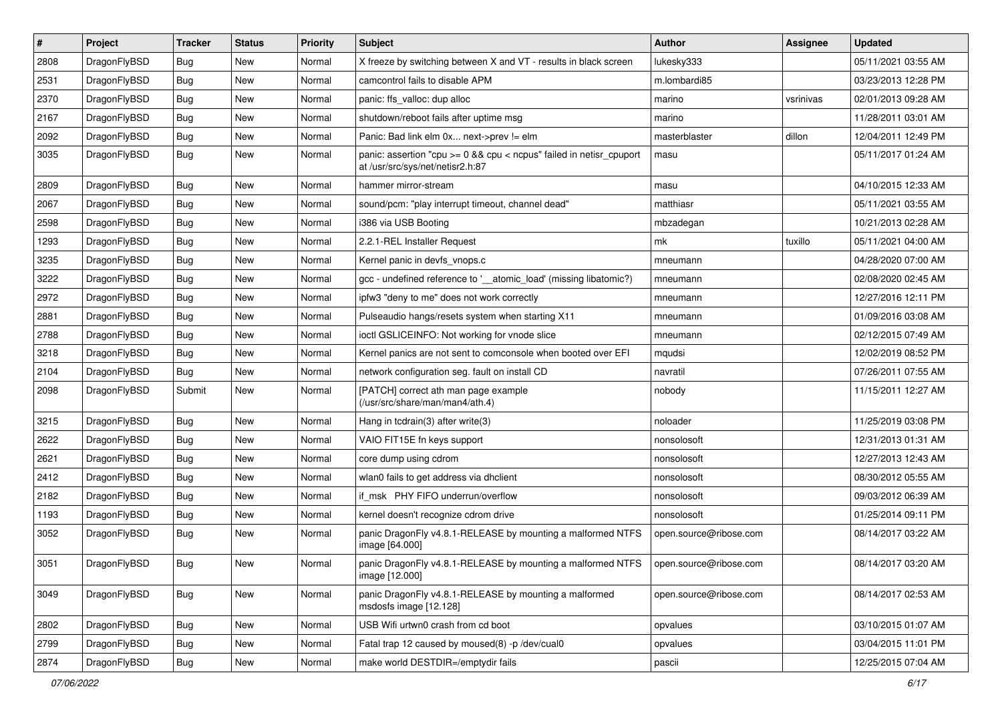| $\sharp$ | Project      | <b>Tracker</b> | <b>Status</b> | <b>Priority</b> | Subject                                                                                                 | <b>Author</b>          | <b>Assignee</b> | <b>Updated</b>      |
|----------|--------------|----------------|---------------|-----------------|---------------------------------------------------------------------------------------------------------|------------------------|-----------------|---------------------|
| 2808     | DragonFlyBSD | <b>Bug</b>     | New           | Normal          | X freeze by switching between X and VT - results in black screen                                        | lukesky333             |                 | 05/11/2021 03:55 AM |
| 2531     | DragonFlyBSD | <b>Bug</b>     | <b>New</b>    | Normal          | camcontrol fails to disable APM                                                                         | m.lombardi85           |                 | 03/23/2013 12:28 PM |
| 2370     | DragonFlyBSD | <b>Bug</b>     | New           | Normal          | panic: ffs_valloc: dup alloc                                                                            | marino                 | vsrinivas       | 02/01/2013 09:28 AM |
| 2167     | DragonFlyBSD | <b>Bug</b>     | New           | Normal          | shutdown/reboot fails after uptime msg                                                                  | marino                 |                 | 11/28/2011 03:01 AM |
| 2092     | DragonFlyBSD | <b>Bug</b>     | <b>New</b>    | Normal          | Panic: Bad link elm 0x next->prev != elm                                                                | masterblaster          | dillon          | 12/04/2011 12:49 PM |
| 3035     | DragonFlyBSD | <b>Bug</b>     | New           | Normal          | panic: assertion "cpu >= 0 && cpu < ncpus" failed in netisr_cpuport<br>at /usr/src/sys/net/netisr2.h:87 | masu                   |                 | 05/11/2017 01:24 AM |
| 2809     | DragonFlyBSD | <b>Bug</b>     | New           | Normal          | hammer mirror-stream                                                                                    | masu                   |                 | 04/10/2015 12:33 AM |
| 2067     | DragonFlyBSD | <b>Bug</b>     | New           | Normal          | sound/pcm: "play interrupt timeout, channel dead"                                                       | matthiasr              |                 | 05/11/2021 03:55 AM |
| 2598     | DragonFlyBSD | Bug            | New           | Normal          | i386 via USB Booting                                                                                    | mbzadegan              |                 | 10/21/2013 02:28 AM |
| 1293     | DragonFlyBSD | <b>Bug</b>     | <b>New</b>    | Normal          | 2.2.1-REL Installer Request                                                                             | mk                     | tuxillo         | 05/11/2021 04:00 AM |
| 3235     | DragonFlyBSD | <b>Bug</b>     | New           | Normal          | Kernel panic in devfs vnops.c                                                                           | mneumann               |                 | 04/28/2020 07:00 AM |
| 3222     | DragonFlyBSD | Bug            | <b>New</b>    | Normal          | gcc - undefined reference to '__atomic_load' (missing libatomic?)                                       | mneumann               |                 | 02/08/2020 02:45 AM |
| 2972     | DragonFlyBSD | <b>Bug</b>     | <b>New</b>    | Normal          | ipfw3 "deny to me" does not work correctly                                                              | mneumann               |                 | 12/27/2016 12:11 PM |
| 2881     | DragonFlyBSD | <b>Bug</b>     | <b>New</b>    | Normal          | Pulseaudio hangs/resets system when starting X11                                                        | mneumann               |                 | 01/09/2016 03:08 AM |
| 2788     | DragonFlyBSD | <b>Bug</b>     | New           | Normal          | ioctl GSLICEINFO: Not working for vnode slice                                                           | mneumann               |                 | 02/12/2015 07:49 AM |
| 3218     | DragonFlyBSD | <b>Bug</b>     | New           | Normal          | Kernel panics are not sent to comconsole when booted over EFI                                           | mqudsi                 |                 | 12/02/2019 08:52 PM |
| 2104     | DragonFlyBSD | Bug            | <b>New</b>    | Normal          | network configuration seg. fault on install CD                                                          | navratil               |                 | 07/26/2011 07:55 AM |
| 2098     | DragonFlyBSD | Submit         | New           | Normal          | [PATCH] correct ath man page example<br>(/usr/src/share/man/man4/ath.4)                                 | nobody                 |                 | 11/15/2011 12:27 AM |
| 3215     | DragonFlyBSD | Bug            | <b>New</b>    | Normal          | Hang in tcdrain(3) after write(3)                                                                       | noloader               |                 | 11/25/2019 03:08 PM |
| 2622     | DragonFlyBSD | <b>Bug</b>     | <b>New</b>    | Normal          | VAIO FIT15E fn keys support                                                                             | nonsolosoft            |                 | 12/31/2013 01:31 AM |
| 2621     | DragonFlyBSD | Bug            | New           | Normal          | core dump using cdrom                                                                                   | nonsolosoft            |                 | 12/27/2013 12:43 AM |
| 2412     | DragonFlyBSD | <b>Bug</b>     | <b>New</b>    | Normal          | wlan0 fails to get address via dhclient                                                                 | nonsolosoft            |                 | 08/30/2012 05:55 AM |
| 2182     | DragonFlyBSD | <b>Bug</b>     | New           | Normal          | if msk PHY FIFO underrun/overflow                                                                       | nonsolosoft            |                 | 09/03/2012 06:39 AM |
| 1193     | DragonFlyBSD | Bug            | New           | Normal          | kernel doesn't recognize cdrom drive                                                                    | nonsolosoft            |                 | 01/25/2014 09:11 PM |
| 3052     | DragonFlyBSD | <b>Bug</b>     | New           | Normal          | panic DragonFly v4.8.1-RELEASE by mounting a malformed NTFS<br>image [64.000]                           | open.source@ribose.com |                 | 08/14/2017 03:22 AM |
| 3051     | DragonFlyBSD | Bug            | New           | Normal          | panic DragonFly v4.8.1-RELEASE by mounting a malformed NTFS<br>image [12.000]                           | open.source@ribose.com |                 | 08/14/2017 03:20 AM |
| 3049     | DragonFlyBSD | <b>Bug</b>     | New           | Normal          | panic DragonFly v4.8.1-RELEASE by mounting a malformed<br>msdosfs image [12.128]                        | open.source@ribose.com |                 | 08/14/2017 02:53 AM |
| 2802     | DragonFlyBSD | Bug            | <b>New</b>    | Normal          | USB Wifi urtwn0 crash from cd boot                                                                      | opvalues               |                 | 03/10/2015 01:07 AM |
| 2799     | DragonFlyBSD | Bug            | New           | Normal          | Fatal trap 12 caused by moused(8) -p /dev/cual0                                                         | opvalues               |                 | 03/04/2015 11:01 PM |
| 2874     | DragonFlyBSD | <b>Bug</b>     | New           | Normal          | make world DESTDIR=/emptydir fails                                                                      | pascii                 |                 | 12/25/2015 07:04 AM |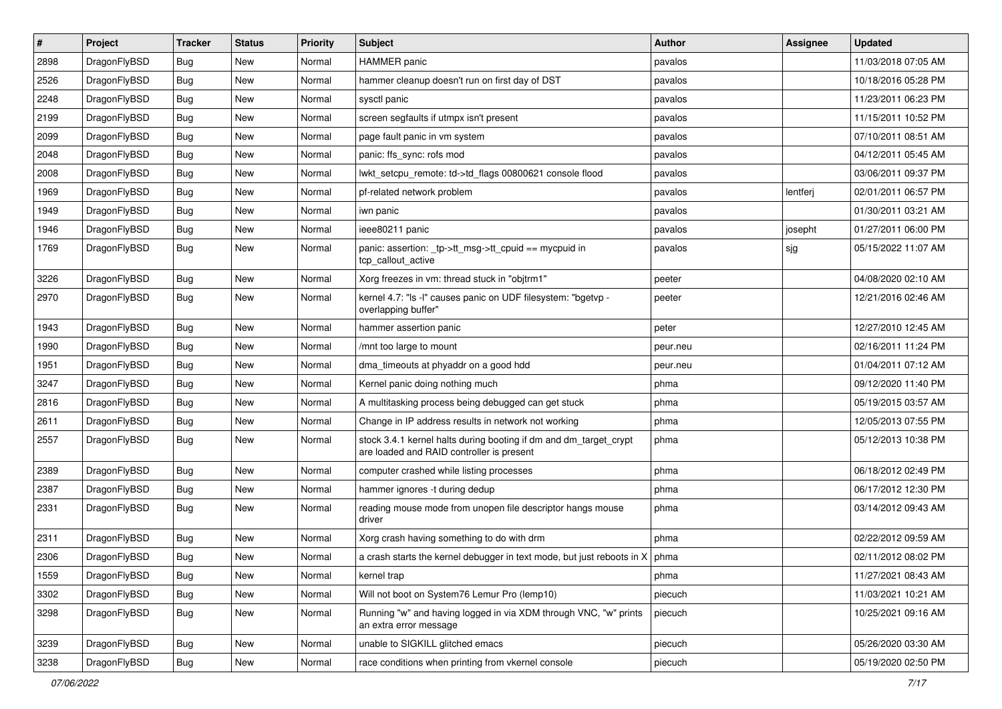| $\sharp$ | Project      | <b>Tracker</b> | <b>Status</b> | <b>Priority</b> | Subject                                                                                                        | <b>Author</b> | Assignee | <b>Updated</b>      |
|----------|--------------|----------------|---------------|-----------------|----------------------------------------------------------------------------------------------------------------|---------------|----------|---------------------|
| 2898     | DragonFlyBSD | <b>Bug</b>     | New           | Normal          | <b>HAMMER</b> panic                                                                                            | pavalos       |          | 11/03/2018 07:05 AM |
| 2526     | DragonFlyBSD | Bug            | New           | Normal          | hammer cleanup doesn't run on first day of DST                                                                 | pavalos       |          | 10/18/2016 05:28 PM |
| 2248     | DragonFlyBSD | <b>Bug</b>     | New           | Normal          | sysctl panic                                                                                                   | pavalos       |          | 11/23/2011 06:23 PM |
| 2199     | DragonFlyBSD | Bug            | New           | Normal          | screen segfaults if utmpx isn't present                                                                        | pavalos       |          | 11/15/2011 10:52 PM |
| 2099     | DragonFlyBSD | Bug            | New           | Normal          | page fault panic in vm system                                                                                  | pavalos       |          | 07/10/2011 08:51 AM |
| 2048     | DragonFlyBSD | Bug            | <b>New</b>    | Normal          | panic: ffs sync: rofs mod                                                                                      | pavalos       |          | 04/12/2011 05:45 AM |
| 2008     | DragonFlyBSD | Bug            | New           | Normal          | lwkt_setcpu_remote: td->td_flags 00800621 console flood                                                        | pavalos       |          | 03/06/2011 09:37 PM |
| 1969     | DragonFlyBSD | Bug            | <b>New</b>    | Normal          | pf-related network problem                                                                                     | pavalos       | lentferj | 02/01/2011 06:57 PM |
| 1949     | DragonFlyBSD | Bug            | New           | Normal          | iwn panic                                                                                                      | pavalos       |          | 01/30/2011 03:21 AM |
| 1946     | DragonFlyBSD | Bug            | <b>New</b>    | Normal          | ieee80211 panic                                                                                                | pavalos       | josepht  | 01/27/2011 06:00 PM |
| 1769     | DragonFlyBSD | <b>Bug</b>     | New           | Normal          | panic: assertion: _tp->tt_msg->tt_cpuid == mycpuid in<br>tcp_callout_active                                    | pavalos       | sjg      | 05/15/2022 11:07 AM |
| 3226     | DragonFlyBSD | Bug            | <b>New</b>    | Normal          | Xorg freezes in vm: thread stuck in "objtrm1"                                                                  | peeter        |          | 04/08/2020 02:10 AM |
| 2970     | DragonFlyBSD | Bug            | <b>New</b>    | Normal          | kernel 4.7: "Is -I" causes panic on UDF filesystem: "bgetvp -<br>overlapping buffer"                           | peeter        |          | 12/21/2016 02:46 AM |
| 1943     | DragonFlyBSD | Bug            | <b>New</b>    | Normal          | hammer assertion panic                                                                                         | peter         |          | 12/27/2010 12:45 AM |
| 1990     | DragonFlyBSD | Bug            | New           | Normal          | /mnt too large to mount                                                                                        | peur.neu      |          | 02/16/2011 11:24 PM |
| 1951     | DragonFlyBSD | Bug            | <b>New</b>    | Normal          | dma timeouts at phyaddr on a good hdd                                                                          | peur.neu      |          | 01/04/2011 07:12 AM |
| 3247     | DragonFlyBSD | <b>Bug</b>     | New           | Normal          | Kernel panic doing nothing much                                                                                | phma          |          | 09/12/2020 11:40 PM |
| 2816     | DragonFlyBSD | <b>Bug</b>     | New           | Normal          | A multitasking process being debugged can get stuck                                                            | phma          |          | 05/19/2015 03:57 AM |
| 2611     | DragonFlyBSD | <b>Bug</b>     | New           | Normal          | Change in IP address results in network not working                                                            | phma          |          | 12/05/2013 07:55 PM |
| 2557     | DragonFlyBSD | <b>Bug</b>     | New           | Normal          | stock 3.4.1 kernel halts during booting if dm and dm_target_crypt<br>are loaded and RAID controller is present | phma          |          | 05/12/2013 10:38 PM |
| 2389     | DragonFlyBSD | Bug            | New           | Normal          | computer crashed while listing processes                                                                       | phma          |          | 06/18/2012 02:49 PM |
| 2387     | DragonFlyBSD | <b>Bug</b>     | New           | Normal          | hammer ignores -t during dedup                                                                                 | phma          |          | 06/17/2012 12:30 PM |
| 2331     | DragonFlyBSD | Bug            | New           | Normal          | reading mouse mode from unopen file descriptor hangs mouse<br>driver                                           | phma          |          | 03/14/2012 09:43 AM |
| 2311     | DragonFlyBSD | Bug            | New           | Normal          | Xorg crash having something to do with drm                                                                     | phma          |          | 02/22/2012 09:59 AM |
| 2306     | DragonFlyBSD | Bug            | New           | Normal          | a crash starts the kernel debugger in text mode, but just reboots in $X \mid p$ hma                            |               |          | 02/11/2012 08:02 PM |
| 1559     | DragonFlyBSD | <b>Bug</b>     | New           | Normal          | kernel trap                                                                                                    | phma          |          | 11/27/2021 08:43 AM |
| 3302     | DragonFlyBSD | <b>Bug</b>     | <b>New</b>    | Normal          | Will not boot on System76 Lemur Pro (lemp10)                                                                   | piecuch       |          | 11/03/2021 10:21 AM |
| 3298     | DragonFlyBSD | <b>Bug</b>     | <b>New</b>    | Normal          | Running "w" and having logged in via XDM through VNC, "w" prints<br>an extra error message                     | piecuch       |          | 10/25/2021 09:16 AM |
| 3239     | DragonFlyBSD | Bug            | <b>New</b>    | Normal          | unable to SIGKILL glitched emacs                                                                               | piecuch       |          | 05/26/2020 03:30 AM |
| 3238     | DragonFlyBSD | Bug            | New           | Normal          | race conditions when printing from vkernel console                                                             | piecuch       |          | 05/19/2020 02:50 PM |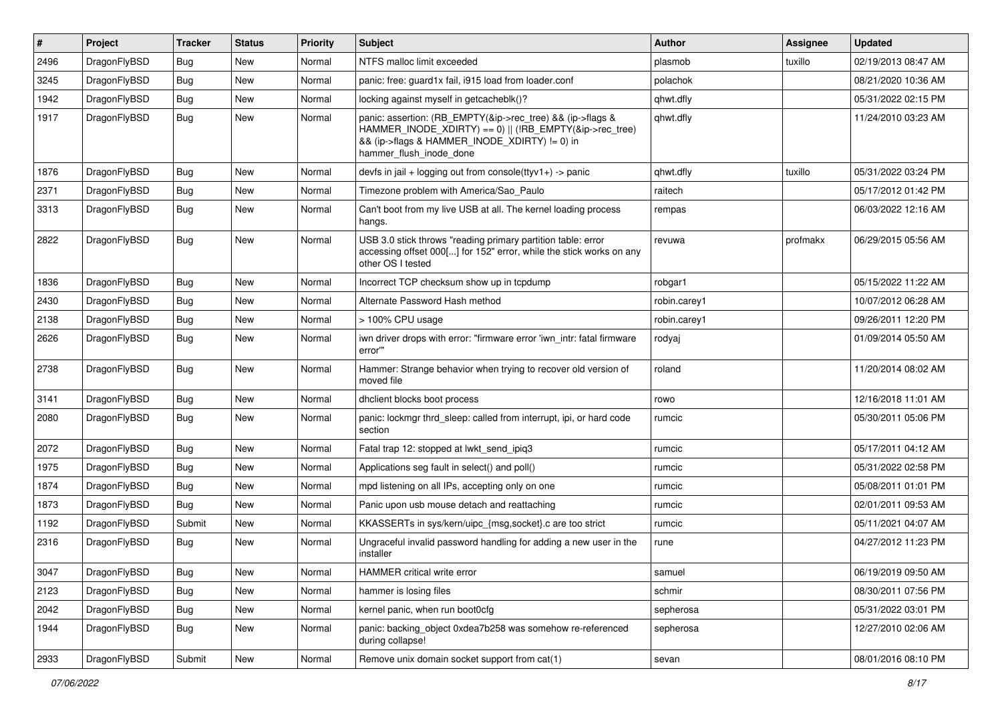| #    | Project      | <b>Tracker</b> | <b>Status</b> | <b>Priority</b> | <b>Subject</b>                                                                                                                                                                                    | <b>Author</b> | <b>Assignee</b> | <b>Updated</b>      |
|------|--------------|----------------|---------------|-----------------|---------------------------------------------------------------------------------------------------------------------------------------------------------------------------------------------------|---------------|-----------------|---------------------|
| 2496 | DragonFlyBSD | Bug            | <b>New</b>    | Normal          | NTFS malloc limit exceeded                                                                                                                                                                        | plasmob       | tuxillo         | 02/19/2013 08:47 AM |
| 3245 | DragonFlyBSD | Bug            | <b>New</b>    | Normal          | panic: free: guard1x fail, i915 load from loader.conf                                                                                                                                             | polachok      |                 | 08/21/2020 10:36 AM |
| 1942 | DragonFlyBSD | <b>Bug</b>     | New           | Normal          | locking against myself in getcacheblk()?                                                                                                                                                          | qhwt.dfly     |                 | 05/31/2022 02:15 PM |
| 1917 | DragonFlyBSD | Bug            | <b>New</b>    | Normal          | panic: assertion: (RB_EMPTY(&ip->rec_tree) && (ip->flags &<br>HAMMER_INODE_XDIRTY) == 0)    (!RB_EMPTY(&ip->rec_tree)<br>&& (ip->flags & HAMMER_INODE_XDIRTY) != 0) in<br>hammer_flush_inode_done | qhwt.dfly     |                 | 11/24/2010 03:23 AM |
| 1876 | DragonFlyBSD | <b>Bug</b>     | <b>New</b>    | Normal          | devfs in jail + logging out from console(ttyv1+) -> panic                                                                                                                                         | qhwt.dfly     | tuxillo         | 05/31/2022 03:24 PM |
| 2371 | DragonFlyBSD | <b>Bug</b>     | <b>New</b>    | Normal          | Timezone problem with America/Sao_Paulo                                                                                                                                                           | raitech       |                 | 05/17/2012 01:42 PM |
| 3313 | DragonFlyBSD | Bug            | New           | Normal          | Can't boot from my live USB at all. The kernel loading process<br>hangs.                                                                                                                          | rempas        |                 | 06/03/2022 12:16 AM |
| 2822 | DragonFlyBSD | Bug            | <b>New</b>    | Normal          | USB 3.0 stick throws "reading primary partition table: error<br>accessing offset 000[] for 152" error, while the stick works on any<br>other OS I tested                                          | revuwa        | profmakx        | 06/29/2015 05:56 AM |
| 1836 | DragonFlyBSD | Bug            | <b>New</b>    | Normal          | Incorrect TCP checksum show up in tcpdump                                                                                                                                                         | robgar1       |                 | 05/15/2022 11:22 AM |
| 2430 | DragonFlyBSD | <b>Bug</b>     | <b>New</b>    | Normal          | Alternate Password Hash method                                                                                                                                                                    | robin.carey1  |                 | 10/07/2012 06:28 AM |
| 2138 | DragonFlyBSD | <b>Bug</b>     | <b>New</b>    | Normal          | > 100% CPU usage                                                                                                                                                                                  | robin.carey1  |                 | 09/26/2011 12:20 PM |
| 2626 | DragonFlyBSD | Bug            | <b>New</b>    | Normal          | iwn driver drops with error: "firmware error 'iwn_intr: fatal firmware<br>error""                                                                                                                 | rodyaj        |                 | 01/09/2014 05:50 AM |
| 2738 | DragonFlyBSD | Bug            | <b>New</b>    | Normal          | Hammer: Strange behavior when trying to recover old version of<br>moved file                                                                                                                      | roland        |                 | 11/20/2014 08:02 AM |
| 3141 | DragonFlyBSD | Bug            | <b>New</b>    | Normal          | dhclient blocks boot process                                                                                                                                                                      | rowo          |                 | 12/16/2018 11:01 AM |
| 2080 | DragonFlyBSD | Bug            | New           | Normal          | panic: lockmgr thrd sleep: called from interrupt, ipi, or hard code<br>section                                                                                                                    | rumcic        |                 | 05/30/2011 05:06 PM |
| 2072 | DragonFlyBSD | <b>Bug</b>     | New           | Normal          | Fatal trap 12: stopped at lwkt send ipig3                                                                                                                                                         | rumcic        |                 | 05/17/2011 04:12 AM |
| 1975 | DragonFlyBSD | Bug            | <b>New</b>    | Normal          | Applications seg fault in select() and poll()                                                                                                                                                     | rumcic        |                 | 05/31/2022 02:58 PM |
| 1874 | DragonFlyBSD | <b>Bug</b>     | <b>New</b>    | Normal          | mpd listening on all IPs, accepting only on one                                                                                                                                                   | rumcic        |                 | 05/08/2011 01:01 PM |
| 1873 | DragonFlyBSD | Bug            | <b>New</b>    | Normal          | Panic upon usb mouse detach and reattaching                                                                                                                                                       | rumcic        |                 | 02/01/2011 09:53 AM |
| 1192 | DragonFlyBSD | Submit         | <b>New</b>    | Normal          | KKASSERTs in sys/kern/uipc_{msg,socket}.c are too strict                                                                                                                                          | rumcic        |                 | 05/11/2021 04:07 AM |
| 2316 | DragonFlyBSD | Bug            | <b>New</b>    | Normal          | Ungraceful invalid password handling for adding a new user in the<br>installer                                                                                                                    | rune          |                 | 04/27/2012 11:23 PM |
| 3047 | DragonFlyBSD | Bug            | New           | Normal          | HAMMER critical write error                                                                                                                                                                       | samuel        |                 | 06/19/2019 09:50 AM |
| 2123 | DragonFlyBSD | <b>Bug</b>     | New           | Normal          | hammer is losing files                                                                                                                                                                            | schmir        |                 | 08/30/2011 07:56 PM |
| 2042 | DragonFlyBSD | <b>Bug</b>     | <b>New</b>    | Normal          | kernel panic, when run boot0cfg                                                                                                                                                                   | sepherosa     |                 | 05/31/2022 03:01 PM |
| 1944 | DragonFlyBSD | Bug            | New           | Normal          | panic: backing_object 0xdea7b258 was somehow re-referenced<br>during collapse!                                                                                                                    | sepherosa     |                 | 12/27/2010 02:06 AM |
| 2933 | DragonFlyBSD | Submit         | New           | Normal          | Remove unix domain socket support from cat(1)                                                                                                                                                     | sevan         |                 | 08/01/2016 08:10 PM |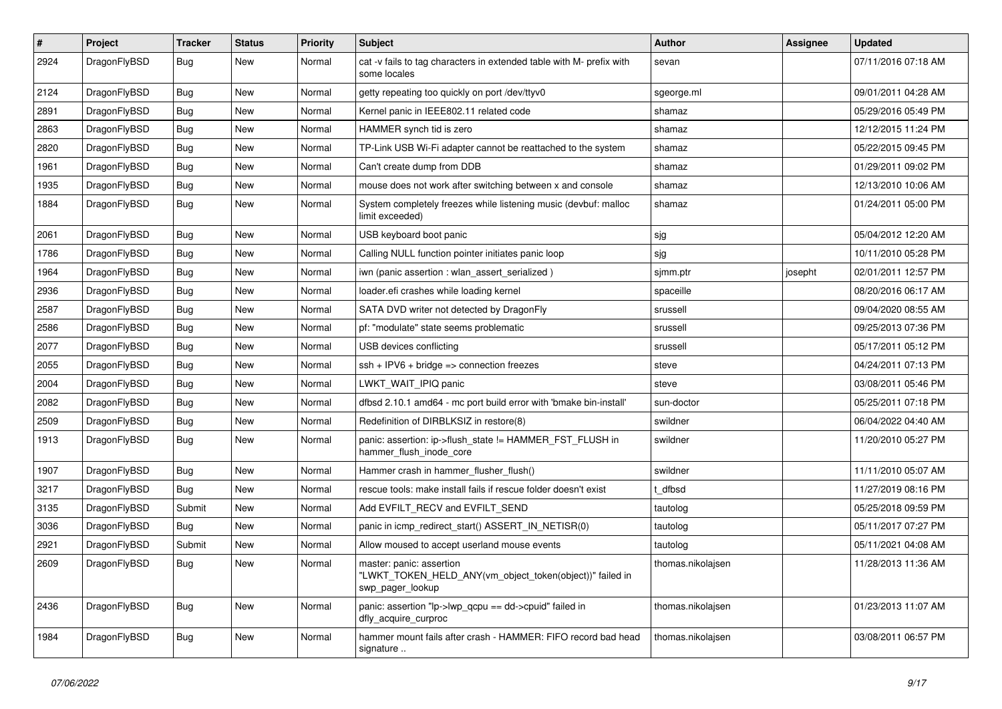| $\sharp$ | Project      | <b>Tracker</b> | <b>Status</b> | <b>Priority</b> | Subject                                                                                                  | Author            | Assignee | <b>Updated</b>      |
|----------|--------------|----------------|---------------|-----------------|----------------------------------------------------------------------------------------------------------|-------------------|----------|---------------------|
| 2924     | DragonFlyBSD | Bug            | New           | Normal          | cat -v fails to tag characters in extended table with M- prefix with<br>some locales                     | sevan             |          | 07/11/2016 07:18 AM |
| 2124     | DragonFlyBSD | <b>Bug</b>     | <b>New</b>    | Normal          | getty repeating too quickly on port /dev/ttyv0                                                           | sgeorge.ml        |          | 09/01/2011 04:28 AM |
| 2891     | DragonFlyBSD | <b>Bug</b>     | New           | Normal          | Kernel panic in IEEE802.11 related code                                                                  | shamaz            |          | 05/29/2016 05:49 PM |
| 2863     | DragonFlyBSD | Bug            | <b>New</b>    | Normal          | HAMMER synch tid is zero                                                                                 | shamaz            |          | 12/12/2015 11:24 PM |
| 2820     | DragonFlyBSD | <b>Bug</b>     | New           | Normal          | TP-Link USB Wi-Fi adapter cannot be reattached to the system                                             | shamaz            |          | 05/22/2015 09:45 PM |
| 1961     | DragonFlyBSD | <b>Bug</b>     | <b>New</b>    | Normal          | Can't create dump from DDB                                                                               | shamaz            |          | 01/29/2011 09:02 PM |
| 1935     | DragonFlyBSD | <b>Bug</b>     | <b>New</b>    | Normal          | mouse does not work after switching between x and console                                                | shamaz            |          | 12/13/2010 10:06 AM |
| 1884     | DragonFlyBSD | <b>Bug</b>     | New           | Normal          | System completely freezes while listening music (devbuf: malloc<br>limit exceeded)                       | shamaz            |          | 01/24/2011 05:00 PM |
| 2061     | DragonFlyBSD | Bug            | <b>New</b>    | Normal          | USB keyboard boot panic                                                                                  | sjg               |          | 05/04/2012 12:20 AM |
| 1786     | DragonFlyBSD | <b>Bug</b>     | New           | Normal          | Calling NULL function pointer initiates panic loop                                                       | sjg               |          | 10/11/2010 05:28 PM |
| 1964     | DragonFlyBSD | <b>Bug</b>     | <b>New</b>    | Normal          | iwn (panic assertion : wlan_assert_serialized)                                                           | sjmm.ptr          | josepht  | 02/01/2011 12:57 PM |
| 2936     | DragonFlyBSD | <b>Bug</b>     | New           | Normal          | loader.efi crashes while loading kernel                                                                  | spaceille         |          | 08/20/2016 06:17 AM |
| 2587     | DragonFlyBSD | <b>Bug</b>     | <b>New</b>    | Normal          | SATA DVD writer not detected by DragonFly                                                                | srussell          |          | 09/04/2020 08:55 AM |
| 2586     | DragonFlyBSD | <b>Bug</b>     | New           | Normal          | pf: "modulate" state seems problematic                                                                   | srussell          |          | 09/25/2013 07:36 PM |
| 2077     | DragonFlyBSD | <b>Bug</b>     | New           | Normal          | USB devices conflicting                                                                                  | srussell          |          | 05/17/2011 05:12 PM |
| 2055     | DragonFlyBSD | <b>Bug</b>     | <b>New</b>    | Normal          | $ssh + IPV6 + bridge \Rightarrow$ connection freezes                                                     | steve             |          | 04/24/2011 07:13 PM |
| 2004     | DragonFlyBSD | <b>Bug</b>     | New           | Normal          | LWKT WAIT IPIQ panic                                                                                     | steve             |          | 03/08/2011 05:46 PM |
| 2082     | DragonFlyBSD | <b>Bug</b>     | <b>New</b>    | Normal          | dfbsd 2.10.1 amd64 - mc port build error with 'bmake bin-install'                                        | sun-doctor        |          | 05/25/2011 07:18 PM |
| 2509     | DragonFlyBSD | <b>Bug</b>     | New           | Normal          | Redefinition of DIRBLKSIZ in restore(8)                                                                  | swildner          |          | 06/04/2022 04:40 AM |
| 1913     | DragonFlyBSD | <b>Bug</b>     | New           | Normal          | panic: assertion: ip->flush_state != HAMMER_FST_FLUSH in<br>hammer_flush_inode_core                      | swildner          |          | 11/20/2010 05:27 PM |
| 1907     | DragonFlyBSD | <b>Bug</b>     | <b>New</b>    | Normal          | Hammer crash in hammer_flusher_flush()                                                                   | swildner          |          | 11/11/2010 05:07 AM |
| 3217     | DragonFlyBSD | <b>Bug</b>     | New           | Normal          | rescue tools: make install fails if rescue folder doesn't exist                                          | t dfbsd           |          | 11/27/2019 08:16 PM |
| 3135     | DragonFlyBSD | Submit         | <b>New</b>    | Normal          | Add EVFILT RECV and EVFILT SEND                                                                          | tautolog          |          | 05/25/2018 09:59 PM |
| 3036     | DragonFlyBSD | Bug            | New           | Normal          | panic in icmp redirect start() ASSERT IN NETISR(0)                                                       | tautolog          |          | 05/11/2017 07:27 PM |
| 2921     | DragonFlyBSD | Submit         | <b>New</b>    | Normal          | Allow moused to accept userland mouse events                                                             | tautolog          |          | 05/11/2021 04:08 AM |
| 2609     | DragonFlyBSD | <b>Bug</b>     | New           | Normal          | master: panic: assertion<br>"LWKT_TOKEN_HELD_ANY(vm_object_token(object))" failed in<br>swp_pager_lookup | thomas.nikolajsen |          | 11/28/2013 11:36 AM |
| 2436     | DragonFlyBSD | <b>Bug</b>     | New           | Normal          | panic: assertion "lp->lwp_qcpu == dd->cpuid" failed in<br>dfly_acquire_curproc                           | thomas.nikolajsen |          | 01/23/2013 11:07 AM |
| 1984     | DragonFlyBSD | <b>Bug</b>     | New           | Normal          | hammer mount fails after crash - HAMMER: FIFO record bad head<br>signature                               | thomas.nikolajsen |          | 03/08/2011 06:57 PM |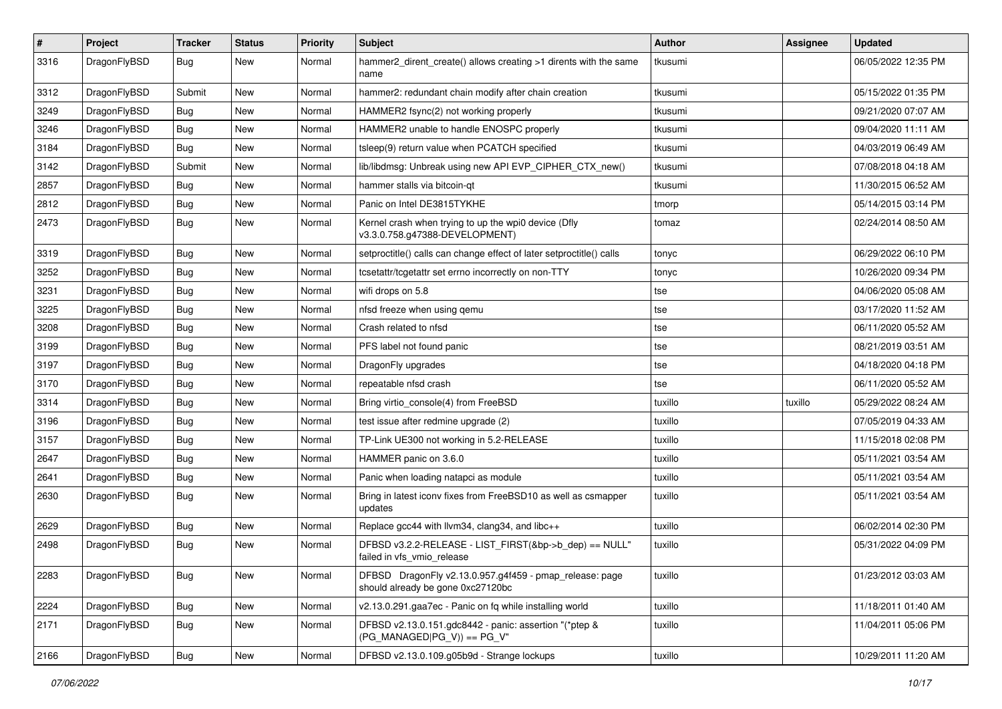| $\sharp$ | Project      | <b>Tracker</b> | <b>Status</b> | <b>Priority</b> | Subject                                                                                      | Author  | Assignee | <b>Updated</b>      |
|----------|--------------|----------------|---------------|-----------------|----------------------------------------------------------------------------------------------|---------|----------|---------------------|
| 3316     | DragonFlyBSD | Bug            | New           | Normal          | hammer2_dirent_create() allows creating >1 dirents with the same<br>name                     | tkusumi |          | 06/05/2022 12:35 PM |
| 3312     | DragonFlyBSD | Submit         | <b>New</b>    | Normal          | hammer2: redundant chain modify after chain creation                                         | tkusumi |          | 05/15/2022 01:35 PM |
| 3249     | DragonFlyBSD | <b>Bug</b>     | <b>New</b>    | Normal          | HAMMER2 fsync(2) not working properly                                                        | tkusumi |          | 09/21/2020 07:07 AM |
| 3246     | DragonFlyBSD | Bug            | <b>New</b>    | Normal          | HAMMER2 unable to handle ENOSPC properly                                                     | tkusumi |          | 09/04/2020 11:11 AM |
| 3184     | DragonFlyBSD | Bug            | New           | Normal          | tsleep(9) return value when PCATCH specified                                                 | tkusumi |          | 04/03/2019 06:49 AM |
| 3142     | DragonFlyBSD | Submit         | <b>New</b>    | Normal          | lib/libdmsg: Unbreak using new API EVP_CIPHER_CTX_new()                                      | tkusumi |          | 07/08/2018 04:18 AM |
| 2857     | DragonFlyBSD | <b>Bug</b>     | New           | Normal          | hammer stalls via bitcoin-gt                                                                 | tkusumi |          | 11/30/2015 06:52 AM |
| 2812     | DragonFlyBSD | <b>Bug</b>     | New           | Normal          | Panic on Intel DE3815TYKHE                                                                   | tmorp   |          | 05/14/2015 03:14 PM |
| 2473     | DragonFlyBSD | <b>Bug</b>     | <b>New</b>    | Normal          | Kernel crash when trying to up the wpi0 device (Dfly<br>v3.3.0.758.g47388-DEVELOPMENT)       | tomaz   |          | 02/24/2014 08:50 AM |
| 3319     | DragonFlyBSD | Bug            | <b>New</b>    | Normal          | setproctitle() calls can change effect of later setproctitle() calls                         | tonyc   |          | 06/29/2022 06:10 PM |
| 3252     | DragonFlyBSD | <b>Bug</b>     | <b>New</b>    | Normal          | tcsetattr/tcgetattr set errno incorrectly on non-TTY                                         | tonyc   |          | 10/26/2020 09:34 PM |
| 3231     | DragonFlyBSD | <b>Bug</b>     | <b>New</b>    | Normal          | wifi drops on 5.8                                                                            | tse     |          | 04/06/2020 05:08 AM |
| 3225     | DragonFlyBSD | <b>Bug</b>     | <b>New</b>    | Normal          | nfsd freeze when using gemu                                                                  | tse     |          | 03/17/2020 11:52 AM |
| 3208     | DragonFlyBSD | <b>Bug</b>     | New           | Normal          | Crash related to nfsd                                                                        | tse     |          | 06/11/2020 05:52 AM |
| 3199     | DragonFlyBSD | <b>Bug</b>     | <b>New</b>    | Normal          | PFS label not found panic                                                                    | tse     |          | 08/21/2019 03:51 AM |
| 3197     | DragonFlyBSD | <b>Bug</b>     | <b>New</b>    | Normal          | DragonFly upgrades                                                                           | tse     |          | 04/18/2020 04:18 PM |
| 3170     | DragonFlyBSD | <b>Bug</b>     | New           | Normal          | repeatable nfsd crash                                                                        | tse     |          | 06/11/2020 05:52 AM |
| 3314     | DragonFlyBSD | <b>Bug</b>     | <b>New</b>    | Normal          | Bring virtio_console(4) from FreeBSD                                                         | tuxillo | tuxillo  | 05/29/2022 08:24 AM |
| 3196     | DragonFlyBSD | <b>Bug</b>     | New           | Normal          | test issue after redmine upgrade (2)                                                         | tuxillo |          | 07/05/2019 04:33 AM |
| 3157     | DragonFlyBSD | <b>Bug</b>     | <b>New</b>    | Normal          | TP-Link UE300 not working in 5.2-RELEASE                                                     | tuxillo |          | 11/15/2018 02:08 PM |
| 2647     | DragonFlyBSD | <b>Bug</b>     | <b>New</b>    | Normal          | HAMMER panic on 3.6.0                                                                        | tuxillo |          | 05/11/2021 03:54 AM |
| 2641     | DragonFlyBSD | <b>Bug</b>     | New           | Normal          | Panic when loading natapci as module                                                         | tuxillo |          | 05/11/2021 03:54 AM |
| 2630     | DragonFlyBSD | <b>Bug</b>     | New           | Normal          | Bring in latest iconv fixes from FreeBSD10 as well as csmapper<br>updates                    | tuxillo |          | 05/11/2021 03:54 AM |
| 2629     | DragonFlyBSD | <b>Bug</b>     | <b>New</b>    | Normal          | Replace gcc44 with llvm34, clang34, and libc++                                               | tuxillo |          | 06/02/2014 02:30 PM |
| 2498     | DragonFlyBSD | <b>Bug</b>     | <b>New</b>    | Normal          | DFBSD v3.2.2-RELEASE - LIST_FIRST(&bp->b_dep) == NULL"<br>failed in vfs_vmio_release         | tuxillo |          | 05/31/2022 04:09 PM |
| 2283     | DragonFlyBSD | <b>Bug</b>     | New           | Normal          | DFBSD DragonFly v2.13.0.957.g4f459 - pmap_release: page<br>should already be gone 0xc27120bc | tuxillo |          | 01/23/2012 03:03 AM |
| 2224     | DragonFlyBSD | Bug            | New           | Normal          | v2.13.0.291.gaa7ec - Panic on fq while installing world                                      | tuxillo |          | 11/18/2011 01:40 AM |
| 2171     | DragonFlyBSD | <b>Bug</b>     | New           | Normal          | DFBSD v2.13.0.151.gdc8442 - panic: assertion "(*ptep &<br>$(PG_MANAGED PG_V)) == PG_V"$      | tuxillo |          | 11/04/2011 05:06 PM |
| 2166     | DragonFlyBSD | <b>Bug</b>     | New           | Normal          | DFBSD v2.13.0.109.g05b9d - Strange lockups                                                   | tuxillo |          | 10/29/2011 11:20 AM |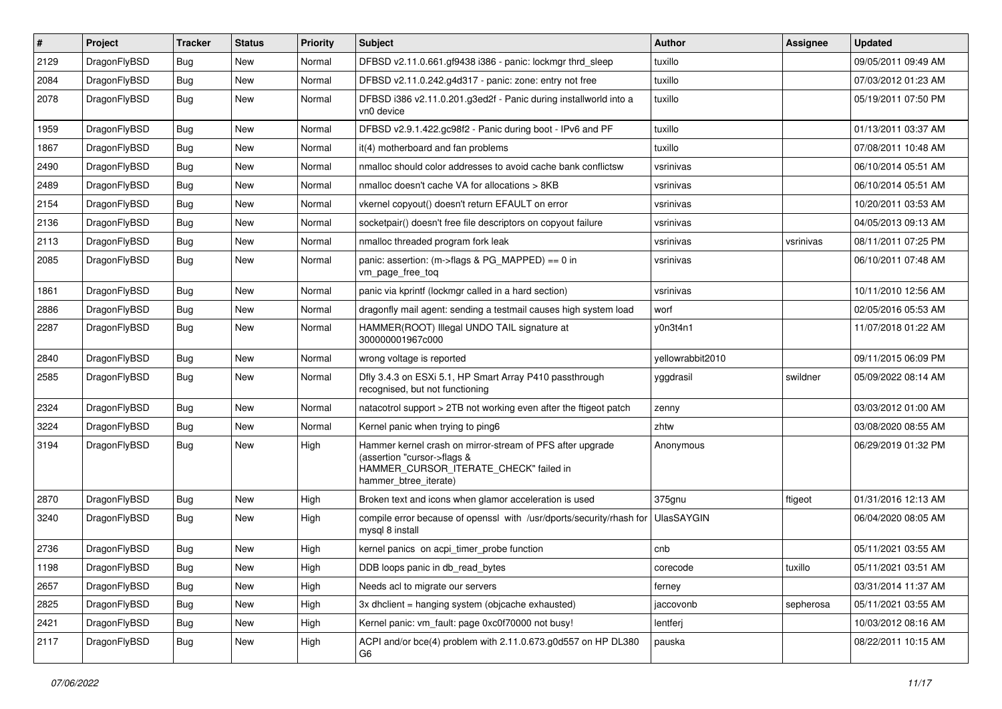| ∦    | Project      | <b>Tracker</b> | <b>Status</b> | <b>Priority</b> | <b>Subject</b>                                                                                                                                              | Author            | <b>Assignee</b> | <b>Updated</b>      |
|------|--------------|----------------|---------------|-----------------|-------------------------------------------------------------------------------------------------------------------------------------------------------------|-------------------|-----------------|---------------------|
| 2129 | DragonFlyBSD | <b>Bug</b>     | New           | Normal          | DFBSD v2.11.0.661.gf9438 i386 - panic: lockmgr thrd_sleep                                                                                                   | tuxillo           |                 | 09/05/2011 09:49 AM |
| 2084 | DragonFlyBSD | <b>Bug</b>     | <b>New</b>    | Normal          | DFBSD v2.11.0.242.g4d317 - panic: zone: entry not free                                                                                                      | tuxillo           |                 | 07/03/2012 01:23 AM |
| 2078 | DragonFlyBSD | <b>Bug</b>     | New           | Normal          | DFBSD i386 v2.11.0.201.g3ed2f - Panic during installworld into a<br>vn0 device                                                                              | tuxillo           |                 | 05/19/2011 07:50 PM |
| 1959 | DragonFlyBSD | <b>Bug</b>     | <b>New</b>    | Normal          | DFBSD v2.9.1.422.gc98f2 - Panic during boot - IPv6 and PF                                                                                                   | tuxillo           |                 | 01/13/2011 03:37 AM |
| 1867 | DragonFlyBSD | <b>Bug</b>     | New           | Normal          | it(4) motherboard and fan problems                                                                                                                          | tuxillo           |                 | 07/08/2011 10:48 AM |
| 2490 | DragonFlyBSD | Bug            | <b>New</b>    | Normal          | nmalloc should color addresses to avoid cache bank conflictsw                                                                                               | vsrinivas         |                 | 06/10/2014 05:51 AM |
| 2489 | DragonFlyBSD | <b>Bug</b>     | New           | Normal          | nmalloc doesn't cache VA for allocations > 8KB                                                                                                              | vsrinivas         |                 | 06/10/2014 05:51 AM |
| 2154 | DragonFlyBSD | Bug            | New           | Normal          | vkernel copyout() doesn't return EFAULT on error                                                                                                            | vsrinivas         |                 | 10/20/2011 03:53 AM |
| 2136 | DragonFlyBSD | Bug            | <b>New</b>    | Normal          | socketpair() doesn't free file descriptors on copyout failure                                                                                               | vsrinivas         |                 | 04/05/2013 09:13 AM |
| 2113 | DragonFlyBSD | <b>Bug</b>     | New           | Normal          | nmalloc threaded program fork leak                                                                                                                          | vsrinivas         | vsrinivas       | 08/11/2011 07:25 PM |
| 2085 | DragonFlyBSD | Bug            | New           | Normal          | panic: assertion: (m->flags & PG_MAPPED) == 0 in<br>vm_page_free_toq                                                                                        | vsrinivas         |                 | 06/10/2011 07:48 AM |
| 1861 | DragonFlyBSD | <b>Bug</b>     | New           | Normal          | panic via kprintf (lockmgr called in a hard section)                                                                                                        | vsrinivas         |                 | 10/11/2010 12:56 AM |
| 2886 | DragonFlyBSD | Bug            | <b>New</b>    | Normal          | dragonfly mail agent: sending a testmail causes high system load                                                                                            | worf              |                 | 02/05/2016 05:53 AM |
| 2287 | DragonFlyBSD | <b>Bug</b>     | New           | Normal          | HAMMER(ROOT) Illegal UNDO TAIL signature at<br>300000001967c000                                                                                             | y0n3t4n1          |                 | 11/07/2018 01:22 AM |
| 2840 | DragonFlyBSD | <b>Bug</b>     | <b>New</b>    | Normal          | wrong voltage is reported                                                                                                                                   | yellowrabbit2010  |                 | 09/11/2015 06:09 PM |
| 2585 | DragonFlyBSD | Bug            | New           | Normal          | Dfly 3.4.3 on ESXi 5.1, HP Smart Array P410 passthrough<br>recognised, but not functioning                                                                  | yggdrasil         | swildner        | 05/09/2022 08:14 AM |
| 2324 | DragonFlyBSD | <b>Bug</b>     | <b>New</b>    | Normal          | natacotrol support > 2TB not working even after the ftigeot patch                                                                                           | zenny             |                 | 03/03/2012 01:00 AM |
| 3224 | DragonFlyBSD | <b>Bug</b>     | New           | Normal          | Kernel panic when trying to ping6                                                                                                                           | zhtw              |                 | 03/08/2020 08:55 AM |
| 3194 | DragonFlyBSD | Bug            | New           | High            | Hammer kernel crash on mirror-stream of PFS after upgrade<br>(assertion "cursor->flags &<br>HAMMER_CURSOR_ITERATE_CHECK" failed in<br>hammer_btree_iterate) | Anonymous         |                 | 06/29/2019 01:32 PM |
| 2870 | DragonFlyBSD | <b>Bug</b>     | New           | High            | Broken text and icons when glamor acceleration is used                                                                                                      | 375gnu            | ftigeot         | 01/31/2016 12:13 AM |
| 3240 | DragonFlyBSD | Bug            | New           | High            | compile error because of openssl with /usr/dports/security/rhash for<br>mysql 8 install                                                                     | <b>UlasSAYGIN</b> |                 | 06/04/2020 08:05 AM |
| 2736 | DragonFlyBSD | <b>Bug</b>     | New           | High            | kernel panics on acpi_timer_probe function                                                                                                                  | cnb               |                 | 05/11/2021 03:55 AM |
| 1198 | DragonFlyBSD | Bug            | New           | High            | DDB loops panic in db_read_bytes                                                                                                                            | corecode          | tuxillo         | 05/11/2021 03:51 AM |
| 2657 | DragonFlyBSD | Bug            | New           | High            | Needs acl to migrate our servers                                                                                                                            | ferney            |                 | 03/31/2014 11:37 AM |
| 2825 | DragonFlyBSD | <b>Bug</b>     | New           | High            | 3x dhclient = hanging system (objcache exhausted)                                                                                                           | jaccovonb         | sepherosa       | 05/11/2021 03:55 AM |
| 2421 | DragonFlyBSD | <b>Bug</b>     | New           | High            | Kernel panic: vm_fault: page 0xc0f70000 not busy!                                                                                                           | lentferj          |                 | 10/03/2012 08:16 AM |
| 2117 | DragonFlyBSD | Bug            | New           | High            | ACPI and/or bce(4) problem with 2.11.0.673.g0d557 on HP DL380<br>G6                                                                                         | pauska            |                 | 08/22/2011 10:15 AM |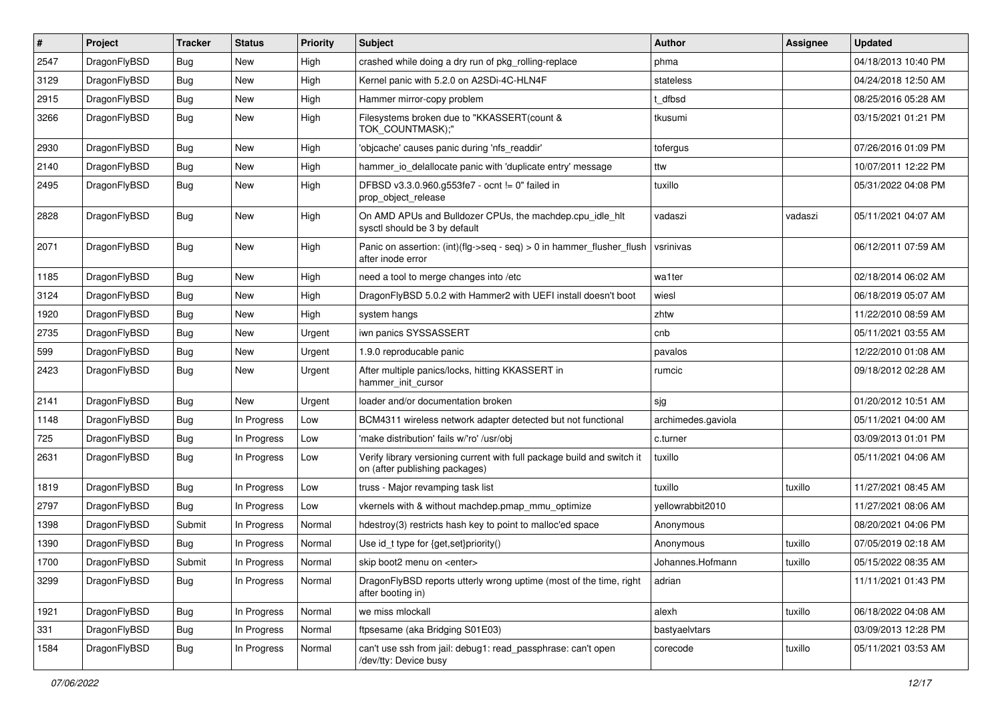| $\vert$ # | Project      | <b>Tracker</b> | <b>Status</b> | <b>Priority</b> | Subject                                                                                                   | Author             | Assignee | <b>Updated</b>      |
|-----------|--------------|----------------|---------------|-----------------|-----------------------------------------------------------------------------------------------------------|--------------------|----------|---------------------|
| 2547      | DragonFlyBSD | Bug            | <b>New</b>    | High            | crashed while doing a dry run of pkg_rolling-replace                                                      | phma               |          | 04/18/2013 10:40 PM |
| 3129      | DragonFlyBSD | <b>Bug</b>     | <b>New</b>    | High            | Kernel panic with 5.2.0 on A2SDi-4C-HLN4F                                                                 | stateless          |          | 04/24/2018 12:50 AM |
| 2915      | DragonFlyBSD | <b>Bug</b>     | <b>New</b>    | High            | Hammer mirror-copy problem                                                                                | t dfbsd            |          | 08/25/2016 05:28 AM |
| 3266      | DragonFlyBSD | Bug            | <b>New</b>    | High            | Filesystems broken due to "KKASSERT(count &<br>TOK_COUNTMASK);"                                           | tkusumi            |          | 03/15/2021 01:21 PM |
| 2930      | DragonFlyBSD | Bug            | New           | High            | 'objcache' causes panic during 'nfs readdir'                                                              | tofergus           |          | 07/26/2016 01:09 PM |
| 2140      | DragonFlyBSD | Bug            | <b>New</b>    | High            | hammer io delallocate panic with 'duplicate entry' message                                                | ttw                |          | 10/07/2011 12:22 PM |
| 2495      | DragonFlyBSD | Bug            | New           | High            | DFBSD v3.3.0.960.g553fe7 - ocnt != 0" failed in<br>prop_object_release                                    | tuxillo            |          | 05/31/2022 04:08 PM |
| 2828      | DragonFlyBSD | <b>Bug</b>     | New           | High            | On AMD APUs and Bulldozer CPUs, the machdep.cpu_idle_hlt<br>sysctl should be 3 by default                 | vadaszi            | vadaszi  | 05/11/2021 04:07 AM |
| 2071      | DragonFlyBSD | Bug            | New           | High            | Panic on assertion: $(int)(flag->seq - seq) > 0$ in hammer flusher flush<br>after inode error             | vsrinivas          |          | 06/12/2011 07:59 AM |
| 1185      | DragonFlyBSD | Bug            | <b>New</b>    | High            | need a tool to merge changes into /etc                                                                    | wa1ter             |          | 02/18/2014 06:02 AM |
| 3124      | DragonFlyBSD | Bug            | <b>New</b>    | High            | DragonFlyBSD 5.0.2 with Hammer2 with UEFI install doesn't boot                                            | wiesl              |          | 06/18/2019 05:07 AM |
| 1920      | DragonFlyBSD | <b>Bug</b>     | <b>New</b>    | High            | system hangs                                                                                              | zhtw               |          | 11/22/2010 08:59 AM |
| 2735      | DragonFlyBSD | Bug            | <b>New</b>    | Urgent          | iwn panics SYSSASSERT                                                                                     | cnb                |          | 05/11/2021 03:55 AM |
| 599       | DragonFlyBSD | Bug            | <b>New</b>    | Urgent          | 1.9.0 reproducable panic                                                                                  | pavalos            |          | 12/22/2010 01:08 AM |
| 2423      | DragonFlyBSD | <b>Bug</b>     | New           | Urgent          | After multiple panics/locks, hitting KKASSERT in<br>hammer init cursor                                    | rumcic             |          | 09/18/2012 02:28 AM |
| 2141      | DragonFlyBSD | Bug            | <b>New</b>    | Urgent          | loader and/or documentation broken                                                                        | sjg                |          | 01/20/2012 10:51 AM |
| 1148      | DragonFlyBSD | <b>Bug</b>     | In Progress   | Low             | BCM4311 wireless network adapter detected but not functional                                              | archimedes.gaviola |          | 05/11/2021 04:00 AM |
| 725       | DragonFlyBSD | Bug            | In Progress   | Low             | 'make distribution' fails w/'ro' /usr/obj                                                                 | c.turner           |          | 03/09/2013 01:01 PM |
| 2631      | DragonFlyBSD | Bug            | In Progress   | Low             | Verify library versioning current with full package build and switch it<br>on (after publishing packages) | tuxillo            |          | 05/11/2021 04:06 AM |
| 1819      | DragonFlyBSD | Bug            | In Progress   | Low             | truss - Major revamping task list                                                                         | tuxillo            | tuxillo  | 11/27/2021 08:45 AM |
| 2797      | DragonFlyBSD | <b>Bug</b>     | In Progress   | Low             | vkernels with & without machdep.pmap mmu optimize                                                         | yellowrabbit2010   |          | 11/27/2021 08:06 AM |
| 1398      | DragonFlyBSD | Submit         | In Progress   | Normal          | hdestroy(3) restricts hash key to point to malloc'ed space                                                | Anonymous          |          | 08/20/2021 04:06 PM |
| 1390      | DragonFlyBSD | Bug            | In Progress   | Normal          | Use id_t type for {get,set}priority()                                                                     | Anonymous          | tuxillo  | 07/05/2019 02:18 AM |
| 1700      | DragonFlvBSD | Submit         | In Progress   | Normal          | skip boot2 menu on <enter></enter>                                                                        | Johannes.Hofmann   | tuxillo  | 05/15/2022 08:35 AM |
| 3299      | DragonFlyBSD | Bug            | In Progress   | Normal          | DragonFlyBSD reports utterly wrong uptime (most of the time, right<br>after booting in)                   | adrian             |          | 11/11/2021 01:43 PM |
| 1921      | DragonFlyBSD | <b>Bug</b>     | In Progress   | Normal          | we miss mlockall                                                                                          | alexh              | tuxillo  | 06/18/2022 04:08 AM |
| 331       | DragonFlyBSD | <b>Bug</b>     | In Progress   | Normal          | ftpsesame (aka Bridging S01E03)                                                                           | bastyaelvtars      |          | 03/09/2013 12:28 PM |
| 1584      | DragonFlyBSD | <b>Bug</b>     | In Progress   | Normal          | can't use ssh from jail: debug1: read_passphrase: can't open<br>/dev/tty: Device busy                     | corecode           | tuxillo  | 05/11/2021 03:53 AM |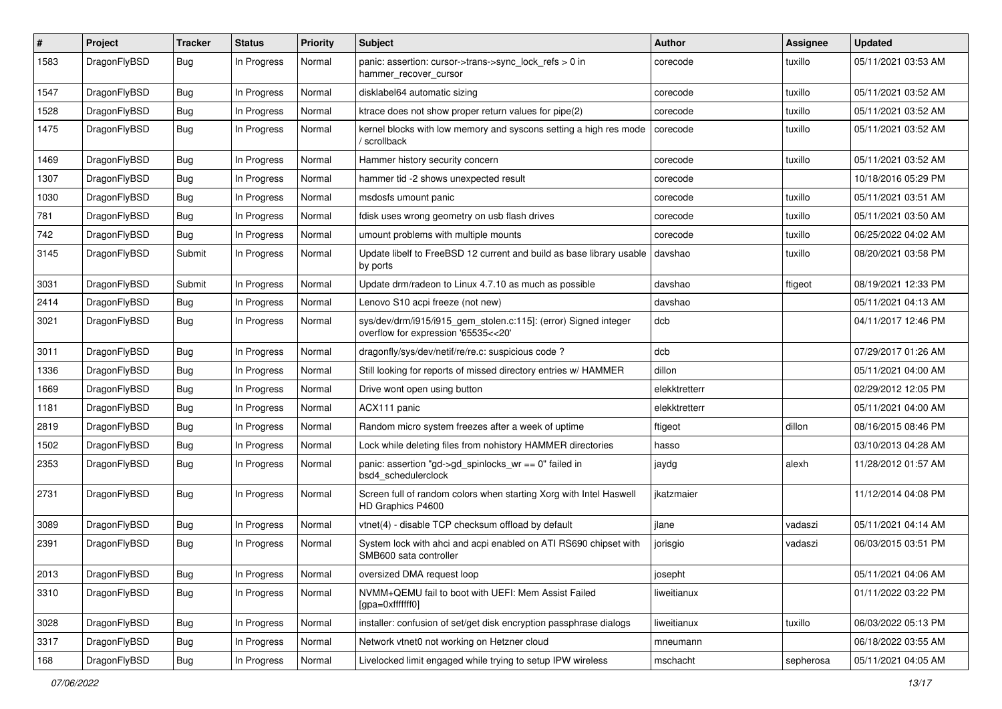| #    | Project      | <b>Tracker</b> | <b>Status</b> | <b>Priority</b> | Subject                                                                                                | <b>Author</b> | Assignee  | <b>Updated</b>      |
|------|--------------|----------------|---------------|-----------------|--------------------------------------------------------------------------------------------------------|---------------|-----------|---------------------|
| 1583 | DragonFlyBSD | <b>Bug</b>     | In Progress   | Normal          | panic: assertion: cursor->trans->sync_lock_refs > 0 in<br>hammer_recover_cursor                        | corecode      | tuxillo   | 05/11/2021 03:53 AM |
| 1547 | DragonFlyBSD | <b>Bug</b>     | In Progress   | Normal          | disklabel64 automatic sizing                                                                           | corecode      | tuxillo   | 05/11/2021 03:52 AM |
| 1528 | DragonFlyBSD | <b>Bug</b>     | In Progress   | Normal          | ktrace does not show proper return values for pipe(2)                                                  | corecode      | tuxillo   | 05/11/2021 03:52 AM |
| 1475 | DragonFlyBSD | Bug            | In Progress   | Normal          | kernel blocks with low memory and syscons setting a high res mode<br>/ scrollback                      | corecode      | tuxillo   | 05/11/2021 03:52 AM |
| 1469 | DragonFlyBSD | <b>Bug</b>     | In Progress   | Normal          | Hammer history security concern                                                                        | corecode      | tuxillo   | 05/11/2021 03:52 AM |
| 1307 | DragonFlyBSD | <b>Bug</b>     | In Progress   | Normal          | hammer tid -2 shows unexpected result                                                                  | corecode      |           | 10/18/2016 05:29 PM |
| 1030 | DragonFlyBSD | <b>Bug</b>     | In Progress   | Normal          | msdosfs umount panic                                                                                   | corecode      | tuxillo   | 05/11/2021 03:51 AM |
| 781  | DragonFlyBSD | <b>Bug</b>     | In Progress   | Normal          | fdisk uses wrong geometry on usb flash drives                                                          | corecode      | tuxillo   | 05/11/2021 03:50 AM |
| 742  | DragonFlyBSD | <b>Bug</b>     | In Progress   | Normal          | umount problems with multiple mounts                                                                   | corecode      | tuxillo   | 06/25/2022 04:02 AM |
| 3145 | DragonFlyBSD | Submit         | In Progress   | Normal          | Update libelf to FreeBSD 12 current and build as base library usable<br>by ports                       | davshao       | tuxillo   | 08/20/2021 03:58 PM |
| 3031 | DragonFlyBSD | Submit         | In Progress   | Normal          | Update drm/radeon to Linux 4.7.10 as much as possible                                                  | davshao       | ftigeot   | 08/19/2021 12:33 PM |
| 2414 | DragonFlyBSD | <b>Bug</b>     | In Progress   | Normal          | Lenovo S10 acpi freeze (not new)                                                                       | davshao       |           | 05/11/2021 04:13 AM |
| 3021 | DragonFlyBSD | <b>Bug</b>     | In Progress   | Normal          | sys/dev/drm/i915/i915_gem_stolen.c:115]: (error) Signed integer<br>overflow for expression '65535<<20' | dcb           |           | 04/11/2017 12:46 PM |
| 3011 | DragonFlyBSD | Bug            | In Progress   | Normal          | dragonfly/sys/dev/netif/re/re.c: suspicious code?                                                      | dcb           |           | 07/29/2017 01:26 AM |
| 1336 | DragonFlyBSD | Bug            | In Progress   | Normal          | Still looking for reports of missed directory entries w/ HAMMER                                        | dillon        |           | 05/11/2021 04:00 AM |
| 1669 | DragonFlyBSD | <b>Bug</b>     | In Progress   | Normal          | Drive wont open using button                                                                           | elekktretterr |           | 02/29/2012 12:05 PM |
| 1181 | DragonFlyBSD | <b>Bug</b>     | In Progress   | Normal          | ACX111 panic                                                                                           | elekktretterr |           | 05/11/2021 04:00 AM |
| 2819 | DragonFlyBSD | Bug            | In Progress   | Normal          | Random micro system freezes after a week of uptime                                                     | ftigeot       | dillon    | 08/16/2015 08:46 PM |
| 1502 | DragonFlyBSD | <b>Bug</b>     | In Progress   | Normal          | Lock while deleting files from nohistory HAMMER directories                                            | hasso         |           | 03/10/2013 04:28 AM |
| 2353 | DragonFlyBSD | <b>Bug</b>     | In Progress   | Normal          | panic: assertion "gd->gd_spinlocks_wr == 0" failed in<br>bsd4_schedulerclock                           | jaydg         | alexh     | 11/28/2012 01:57 AM |
| 2731 | DragonFlyBSD | <b>Bug</b>     | In Progress   | Normal          | Screen full of random colors when starting Xorg with Intel Haswell<br>HD Graphics P4600                | ikatzmaier    |           | 11/12/2014 04:08 PM |
| 3089 | DragonFlyBSD | <b>Bug</b>     | In Progress   | Normal          | vtnet(4) - disable TCP checksum offload by default                                                     | jlane         | vadaszi   | 05/11/2021 04:14 AM |
| 2391 | DragonFlyBSD | <b>Bug</b>     | In Progress   | Normal          | System lock with ahci and acpi enabled on ATI RS690 chipset with<br>SMB600 sata controller             | jorisgio      | vadaszi   | 06/03/2015 03:51 PM |
| 2013 | DragonFlyBSD | <b>Bug</b>     | In Progress   | Normal          | oversized DMA request loop                                                                             | josepht       |           | 05/11/2021 04:06 AM |
| 3310 | DragonFlyBSD | Bug            | In Progress   | Normal          | NVMM+QEMU fail to boot with UEFI: Mem Assist Failed<br>[gpa=0xfffffff0]                                | liweitianux   |           | 01/11/2022 03:22 PM |
| 3028 | DragonFlyBSD | <b>Bug</b>     | In Progress   | Normal          | installer: confusion of set/get disk encryption passphrase dialogs                                     | liweitianux   | tuxillo   | 06/03/2022 05:13 PM |
| 3317 | DragonFlyBSD | <b>Bug</b>     | In Progress   | Normal          | Network vtnet0 not working on Hetzner cloud                                                            | mneumann      |           | 06/18/2022 03:55 AM |
| 168  | DragonFlyBSD | <b>Bug</b>     | In Progress   | Normal          | Livelocked limit engaged while trying to setup IPW wireless                                            | mschacht      | sepherosa | 05/11/2021 04:05 AM |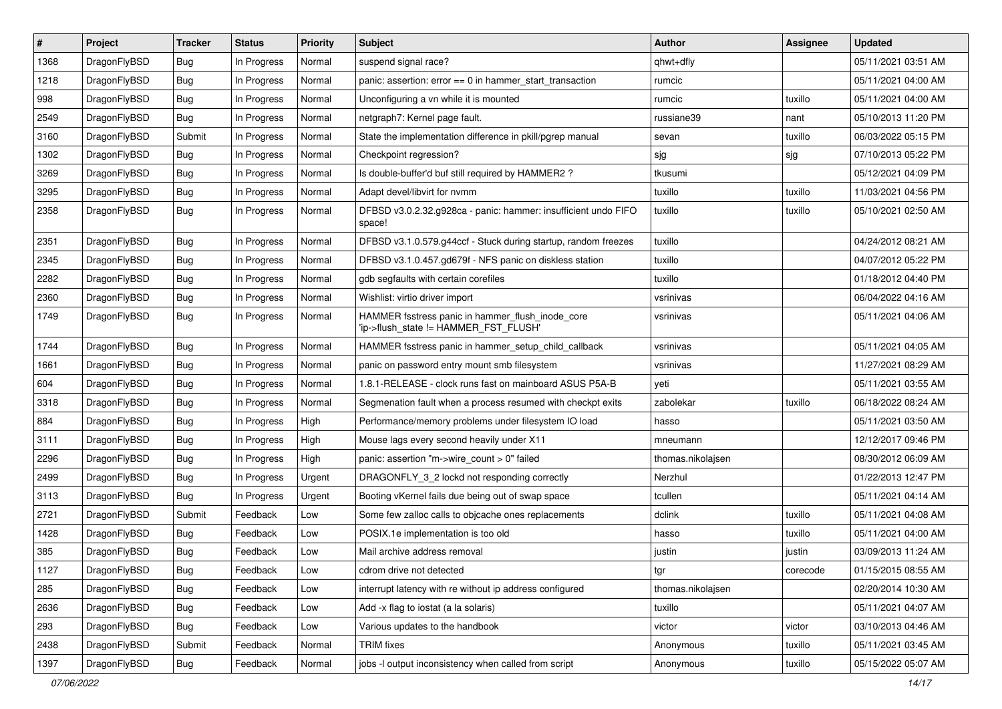| $\pmb{\#}$ | Project      | <b>Tracker</b> | <b>Status</b> | <b>Priority</b> | <b>Subject</b>                                                                            | <b>Author</b>     | <b>Assignee</b> | <b>Updated</b>      |
|------------|--------------|----------------|---------------|-----------------|-------------------------------------------------------------------------------------------|-------------------|-----------------|---------------------|
| 1368       | DragonFlyBSD | Bug            | In Progress   | Normal          | suspend signal race?                                                                      | qhwt+dfly         |                 | 05/11/2021 03:51 AM |
| 1218       | DragonFlyBSD | Bug            | In Progress   | Normal          | panic: assertion: $error == 0$ in hammer start transaction                                | rumcic            |                 | 05/11/2021 04:00 AM |
| 998        | DragonFlyBSD | Bug            | In Progress   | Normal          | Unconfiguring a vn while it is mounted                                                    | rumcic            | tuxillo         | 05/11/2021 04:00 AM |
| 2549       | DragonFlyBSD | Bug            | In Progress   | Normal          | netgraph7: Kernel page fault.                                                             | russiane39        | nant            | 05/10/2013 11:20 PM |
| 3160       | DragonFlyBSD | Submit         | In Progress   | Normal          | State the implementation difference in pkill/pgrep manual                                 | sevan             | tuxillo         | 06/03/2022 05:15 PM |
| 1302       | DragonFlyBSD | Bug            | In Progress   | Normal          | Checkpoint regression?                                                                    | sjg               | sjg             | 07/10/2013 05:22 PM |
| 3269       | DragonFlyBSD | Bug            | In Progress   | Normal          | Is double-buffer'd buf still required by HAMMER2 ?                                        | tkusumi           |                 | 05/12/2021 04:09 PM |
| 3295       | DragonFlyBSD | Bug            | In Progress   | Normal          | Adapt devel/libvirt for nvmm                                                              | tuxillo           | tuxillo         | 11/03/2021 04:56 PM |
| 2358       | DragonFlyBSD | <b>Bug</b>     | In Progress   | Normal          | DFBSD v3.0.2.32.g928ca - panic: hammer: insufficient undo FIFO<br>space!                  | tuxillo           | tuxillo         | 05/10/2021 02:50 AM |
| 2351       | DragonFlyBSD | Bug            | In Progress   | Normal          | DFBSD v3.1.0.579.g44ccf - Stuck during startup, random freezes                            | tuxillo           |                 | 04/24/2012 08:21 AM |
| 2345       | DragonFlyBSD | Bug            | In Progress   | Normal          | DFBSD v3.1.0.457.gd679f - NFS panic on diskless station                                   | tuxillo           |                 | 04/07/2012 05:22 PM |
| 2282       | DragonFlyBSD | Bug            | In Progress   | Normal          | gdb segfaults with certain corefiles                                                      | tuxillo           |                 | 01/18/2012 04:40 PM |
| 2360       | DragonFlyBSD | Bug            | In Progress   | Normal          | Wishlist: virtio driver import                                                            | vsrinivas         |                 | 06/04/2022 04:16 AM |
| 1749       | DragonFlyBSD | Bug            | In Progress   | Normal          | HAMMER fsstress panic in hammer flush inode core<br>'ip->flush_state != HAMMER_FST_FLUSH' | vsrinivas         |                 | 05/11/2021 04:06 AM |
| 1744       | DragonFlyBSD | Bug            | In Progress   | Normal          | HAMMER fsstress panic in hammer_setup_child_callback                                      | vsrinivas         |                 | 05/11/2021 04:05 AM |
| 1661       | DragonFlyBSD | Bug            | In Progress   | Normal          | panic on password entry mount smb filesystem                                              | vsrinivas         |                 | 11/27/2021 08:29 AM |
| 604        | DragonFlyBSD | Bug            | In Progress   | Normal          | 1.8.1-RELEASE - clock runs fast on mainboard ASUS P5A-B                                   | yeti              |                 | 05/11/2021 03:55 AM |
| 3318       | DragonFlyBSD | Bug            | In Progress   | Normal          | Segmenation fault when a process resumed with checkpt exits                               | zabolekar         | tuxillo         | 06/18/2022 08:24 AM |
| 884        | DragonFlyBSD | Bug            | In Progress   | High            | Performance/memory problems under filesystem IO load                                      | hasso             |                 | 05/11/2021 03:50 AM |
| 3111       | DragonFlyBSD | Bug            | In Progress   | High            | Mouse lags every second heavily under X11                                                 | mneumann          |                 | 12/12/2017 09:46 PM |
| 2296       | DragonFlyBSD | Bug            | In Progress   | High            | panic: assertion "m->wire_count > 0" failed                                               | thomas.nikolajsen |                 | 08/30/2012 06:09 AM |
| 2499       | DragonFlyBSD | Bug            | In Progress   | Urgent          | DRAGONFLY 3 2 lockd not responding correctly                                              | Nerzhul           |                 | 01/22/2013 12:47 PM |
| 3113       | DragonFlyBSD | Bug            | In Progress   | Urgent          | Booting vKernel fails due being out of swap space                                         | tcullen           |                 | 05/11/2021 04:14 AM |
| 2721       | DragonFlyBSD | Submit         | Feedback      | Low             | Some few zalloc calls to objcache ones replacements                                       | dclink            | tuxillo         | 05/11/2021 04:08 AM |
| 1428       | DragonFlyBSD | Bug            | Feedback      | Low             | POSIX.1e implementation is too old                                                        | hasso             | tuxillo         | 05/11/2021 04:00 AM |
| 385        | DragonFlyBSD | Bug            | Feedback      | Low             | Mail archive address removal                                                              | justin            | justin          | 03/09/2013 11:24 AM |
| 1127       | DragonFlyBSD | <b>Bug</b>     | Feedback      | Low             | cdrom drive not detected                                                                  | tgr               | corecode        | 01/15/2015 08:55 AM |
| 285        | DragonFlyBSD | <b>Bug</b>     | Feedback      | Low             | interrupt latency with re without ip address configured                                   | thomas.nikolajsen |                 | 02/20/2014 10:30 AM |
| 2636       | DragonFlyBSD | <b>Bug</b>     | Feedback      | Low             | Add -x flag to iostat (a la solaris)                                                      | tuxillo           |                 | 05/11/2021 04:07 AM |
| 293        | DragonFlyBSD | <b>Bug</b>     | Feedback      | Low             | Various updates to the handbook                                                           | victor            | victor          | 03/10/2013 04:46 AM |
| 2438       | DragonFlyBSD | Submit         | Feedback      | Normal          | <b>TRIM</b> fixes                                                                         | Anonymous         | tuxillo         | 05/11/2021 03:45 AM |
| 1397       | DragonFlyBSD | <b>Bug</b>     | Feedback      | Normal          | jobs -I output inconsistency when called from script                                      | Anonymous         | tuxillo         | 05/15/2022 05:07 AM |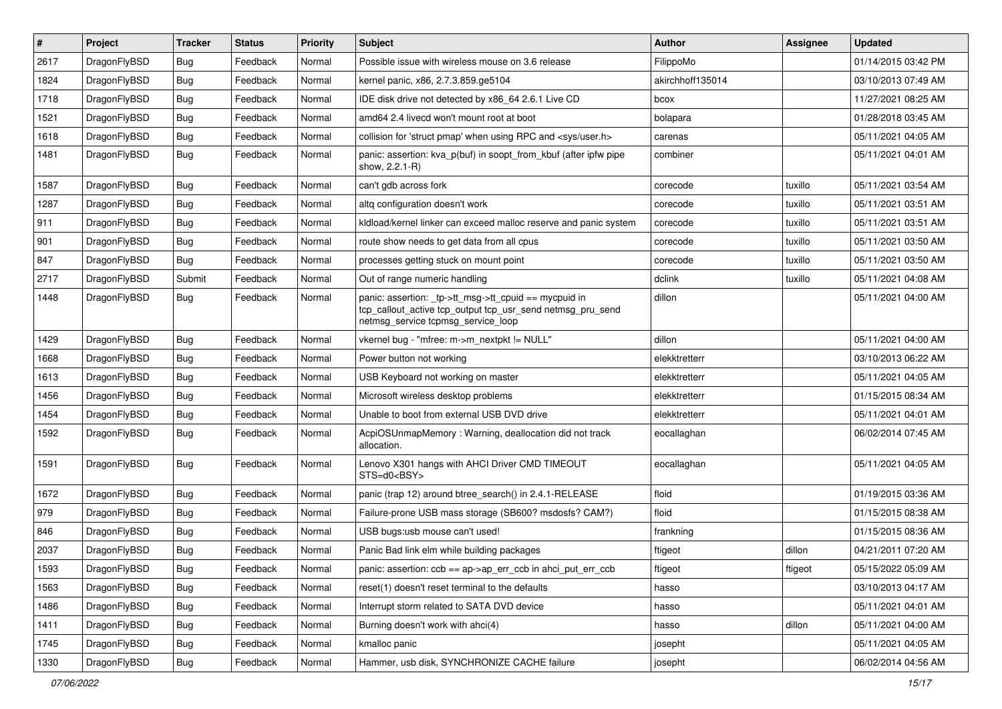| #    | Project      | <b>Tracker</b> | <b>Status</b> | <b>Priority</b> | <b>Subject</b>                                                                                                                                            | <b>Author</b>    | Assignee | <b>Updated</b>      |
|------|--------------|----------------|---------------|-----------------|-----------------------------------------------------------------------------------------------------------------------------------------------------------|------------------|----------|---------------------|
| 2617 | DragonFlyBSD | <b>Bug</b>     | Feedback      | Normal          | Possible issue with wireless mouse on 3.6 release                                                                                                         | FilippoMo        |          | 01/14/2015 03:42 PM |
| 1824 | DragonFlyBSD | <b>Bug</b>     | Feedback      | Normal          | kernel panic, x86, 2.7.3.859.ge5104                                                                                                                       | akirchhoff135014 |          | 03/10/2013 07:49 AM |
| 1718 | DragonFlyBSD | <b>Bug</b>     | Feedback      | Normal          | IDE disk drive not detected by x86_64 2.6.1 Live CD                                                                                                       | bcox             |          | 11/27/2021 08:25 AM |
| 1521 | DragonFlyBSD | Bug            | Feedback      | Normal          | amd64 2.4 livecd won't mount root at boot                                                                                                                 | bolapara         |          | 01/28/2018 03:45 AM |
| 1618 | DragonFlyBSD | <b>Bug</b>     | Feedback      | Normal          | collision for 'struct pmap' when using RPC and <sys user.h=""></sys>                                                                                      | carenas          |          | 05/11/2021 04:05 AM |
| 1481 | DragonFlyBSD | Bug            | Feedback      | Normal          | panic: assertion: kva_p(buf) in soopt_from_kbuf (after ipfw pipe<br>show, 2.2.1-R)                                                                        | combiner         |          | 05/11/2021 04:01 AM |
| 1587 | DragonFlyBSD | <b>Bug</b>     | Feedback      | Normal          | can't gdb across fork                                                                                                                                     | corecode         | tuxillo  | 05/11/2021 03:54 AM |
| 1287 | DragonFlyBSD | <b>Bug</b>     | Feedback      | Normal          | altq configuration doesn't work                                                                                                                           | corecode         | tuxillo  | 05/11/2021 03:51 AM |
| 911  | DragonFlyBSD | <b>Bug</b>     | Feedback      | Normal          | kldload/kernel linker can exceed malloc reserve and panic system                                                                                          | corecode         | tuxillo  | 05/11/2021 03:51 AM |
| 901  | DragonFlyBSD | <b>Bug</b>     | Feedback      | Normal          | route show needs to get data from all cpus                                                                                                                | corecode         | tuxillo  | 05/11/2021 03:50 AM |
| 847  | DragonFlyBSD | Bug            | Feedback      | Normal          | processes getting stuck on mount point                                                                                                                    | corecode         | tuxillo  | 05/11/2021 03:50 AM |
| 2717 | DragonFlyBSD | Submit         | Feedback      | Normal          | Out of range numeric handling                                                                                                                             | dclink           | tuxillo  | 05/11/2021 04:08 AM |
| 1448 | DragonFlyBSD | Bug            | Feedback      | Normal          | panic: assertion: _tp->tt_msg->tt_cpuid == mycpuid in<br>tcp_callout_active tcp_output tcp_usr_send netmsg_pru_send<br>netmsg service tcpmsg service loop | dillon           |          | 05/11/2021 04:00 AM |
| 1429 | DragonFlyBSD | <b>Bug</b>     | Feedback      | Normal          | vkernel bug - "mfree: m->m_nextpkt != NULL"                                                                                                               | dillon           |          | 05/11/2021 04:00 AM |
| 1668 | DragonFlyBSD | Bug            | Feedback      | Normal          | Power button not working                                                                                                                                  | elekktretterr    |          | 03/10/2013 06:22 AM |
| 1613 | DragonFlyBSD | <b>Bug</b>     | Feedback      | Normal          | USB Keyboard not working on master                                                                                                                        | elekktretterr    |          | 05/11/2021 04:05 AM |
| 1456 | DragonFlyBSD | Bug            | Feedback      | Normal          | Microsoft wireless desktop problems                                                                                                                       | elekktretterr    |          | 01/15/2015 08:34 AM |
| 1454 | DragonFlyBSD | <b>Bug</b>     | Feedback      | Normal          | Unable to boot from external USB DVD drive                                                                                                                | elekktretterr    |          | 05/11/2021 04:01 AM |
| 1592 | DragonFlyBSD | Bug            | Feedback      | Normal          | AcpiOSUnmapMemory: Warning, deallocation did not track<br>allocation.                                                                                     | eocallaghan      |          | 06/02/2014 07:45 AM |
| 1591 | DragonFlyBSD | <b>Bug</b>     | Feedback      | Normal          | Lenovo X301 hangs with AHCI Driver CMD TIMEOUT<br>STS=d0 <bsy></bsy>                                                                                      | eocallaghan      |          | 05/11/2021 04:05 AM |
| 1672 | DragonFlyBSD | Bug            | Feedback      | Normal          | panic (trap 12) around btree_search() in 2.4.1-RELEASE                                                                                                    | floid            |          | 01/19/2015 03:36 AM |
| 979  | DragonFlyBSD | <b>Bug</b>     | Feedback      | Normal          | Failure-prone USB mass storage (SB600? msdosfs? CAM?)                                                                                                     | floid            |          | 01/15/2015 08:38 AM |
| 846  | DragonFlyBSD | Bug            | Feedback      | Normal          | USB bugs:usb mouse can't used!                                                                                                                            | frankning        |          | 01/15/2015 08:36 AM |
| 2037 | DragonFlyBSD | <b>Bug</b>     | Feedback      | Normal          | Panic Bad link elm while building packages                                                                                                                | ftigeot          | dillon   | 04/21/2011 07:20 AM |
| 1593 | DragonFlyBSD | <b>Bug</b>     | Feedback      | Normal          | panic: assertion: ccb == ap->ap_err_ccb in ahci_put_err_ccb                                                                                               | ftigeot          | ftigeot  | 05/15/2022 05:09 AM |
| 1563 | DragonFlyBSD | Bug            | Feedback      | Normal          | reset(1) doesn't reset terminal to the defaults                                                                                                           | hasso            |          | 03/10/2013 04:17 AM |
| 1486 | DragonFlyBSD | <b>Bug</b>     | Feedback      | Normal          | Interrupt storm related to SATA DVD device                                                                                                                | hasso            |          | 05/11/2021 04:01 AM |
| 1411 | DragonFlyBSD | Bug            | Feedback      | Normal          | Burning doesn't work with ahci(4)                                                                                                                         | hasso            | dillon   | 05/11/2021 04:00 AM |
| 1745 | DragonFlyBSD | <b>Bug</b>     | Feedback      | Normal          | kmalloc panic                                                                                                                                             | josepht          |          | 05/11/2021 04:05 AM |
| 1330 | DragonFlyBSD | Bug            | Feedback      | Normal          | Hammer, usb disk, SYNCHRONIZE CACHE failure                                                                                                               | josepht          |          | 06/02/2014 04:56 AM |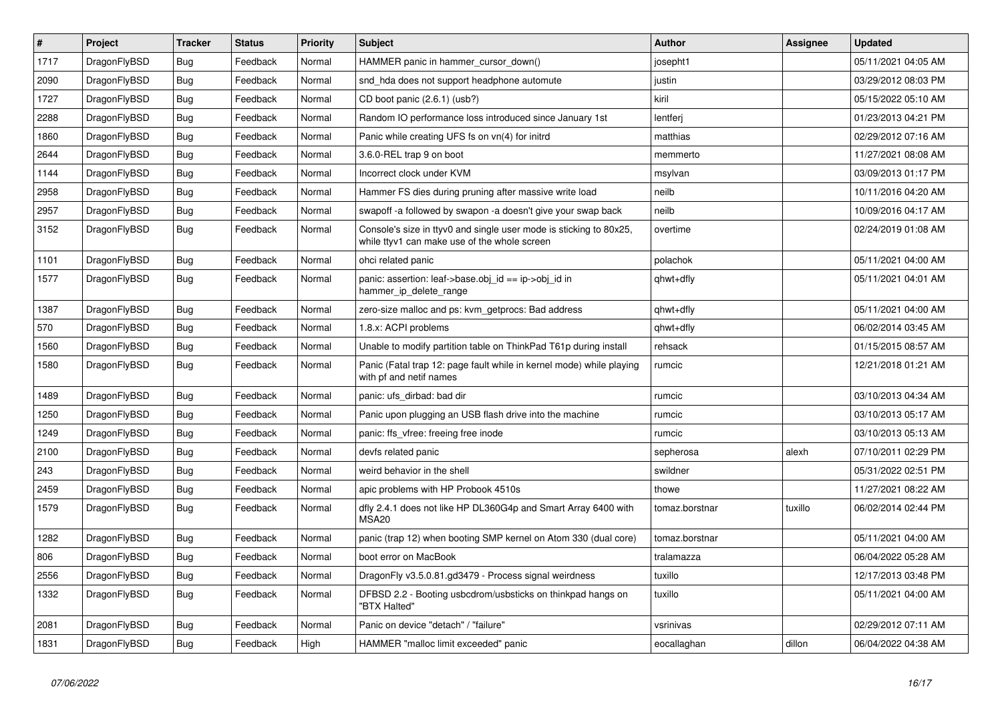| $\vert$ # | <b>Project</b> | <b>Tracker</b> | <b>Status</b> | <b>Priority</b> | <b>Subject</b>                                                                                                     | Author         | Assignee | <b>Updated</b>      |
|-----------|----------------|----------------|---------------|-----------------|--------------------------------------------------------------------------------------------------------------------|----------------|----------|---------------------|
| 1717      | DragonFlyBSD   | Bug            | Feedback      | Normal          | HAMMER panic in hammer cursor down()                                                                               | josepht1       |          | 05/11/2021 04:05 AM |
| 2090      | DragonFlyBSD   | <b>Bug</b>     | Feedback      | Normal          | snd hda does not support headphone automute                                                                        | justin         |          | 03/29/2012 08:03 PM |
| 1727      | DragonFlyBSD   | <b>Bug</b>     | Feedback      | Normal          | CD boot panic (2.6.1) (usb?)                                                                                       | kiril          |          | 05/15/2022 05:10 AM |
| 2288      | DragonFlyBSD   | Bug            | Feedback      | Normal          | Random IO performance loss introduced since January 1st                                                            | lentferj       |          | 01/23/2013 04:21 PM |
| 1860      | DragonFlyBSD   | <b>Bug</b>     | Feedback      | Normal          | Panic while creating UFS fs on vn(4) for initrd                                                                    | matthias       |          | 02/29/2012 07:16 AM |
| 2644      | DragonFlyBSD   | <b>Bug</b>     | Feedback      | Normal          | 3.6.0-REL trap 9 on boot                                                                                           | memmerto       |          | 11/27/2021 08:08 AM |
| 1144      | DragonFlyBSD   | <b>Bug</b>     | Feedback      | Normal          | Incorrect clock under KVM                                                                                          | msylvan        |          | 03/09/2013 01:17 PM |
| 2958      | DragonFlyBSD   | Bug            | Feedback      | Normal          | Hammer FS dies during pruning after massive write load                                                             | neilb          |          | 10/11/2016 04:20 AM |
| 2957      | DragonFlyBSD   | <b>Bug</b>     | Feedback      | Normal          | swapoff -a followed by swapon -a doesn't give your swap back                                                       | neilb          |          | 10/09/2016 04:17 AM |
| 3152      | DragonFlyBSD   | <b>Bug</b>     | Feedback      | Normal          | Console's size in ttyv0 and single user mode is sticking to 80x25,<br>while ttyv1 can make use of the whole screen | overtime       |          | 02/24/2019 01:08 AM |
| 1101      | DragonFlyBSD   | <b>Bug</b>     | Feedback      | Normal          | ohci related panic                                                                                                 | polachok       |          | 05/11/2021 04:00 AM |
| 1577      | DragonFlyBSD   | <b>Bug</b>     | Feedback      | Normal          | panic: assertion: leaf->base.obj id == ip->obj id in<br>hammer_ip_delete_range                                     | qhwt+dfly      |          | 05/11/2021 04:01 AM |
| 1387      | DragonFlyBSD   | <b>Bug</b>     | Feedback      | Normal          | zero-size malloc and ps: kvm getprocs: Bad address                                                                 | qhwt+dfly      |          | 05/11/2021 04:00 AM |
| 570       | DragonFlyBSD   | Bug            | Feedback      | Normal          | 1.8.x: ACPI problems                                                                                               | qhwt+dfly      |          | 06/02/2014 03:45 AM |
| 1560      | DragonFlyBSD   | <b>Bug</b>     | Feedback      | Normal          | Unable to modify partition table on ThinkPad T61p during install                                                   | rehsack        |          | 01/15/2015 08:57 AM |
| 1580      | DragonFlyBSD   | Bug            | Feedback      | Normal          | Panic (Fatal trap 12: page fault while in kernel mode) while playing<br>with pf and netif names                    | rumcic         |          | 12/21/2018 01:21 AM |
| 1489      | DragonFlyBSD   | <b>Bug</b>     | Feedback      | Normal          | panic: ufs dirbad: bad dir                                                                                         | rumcic         |          | 03/10/2013 04:34 AM |
| 1250      | DragonFlyBSD   | <b>Bug</b>     | Feedback      | Normal          | Panic upon plugging an USB flash drive into the machine                                                            | rumcic         |          | 03/10/2013 05:17 AM |
| 1249      | DragonFlyBSD   | Bug            | Feedback      | Normal          | panic: ffs vfree: freeing free inode                                                                               | rumcic         |          | 03/10/2013 05:13 AM |
| 2100      | DragonFlyBSD   | <b>Bug</b>     | Feedback      | Normal          | devfs related panic                                                                                                | sepherosa      | alexh    | 07/10/2011 02:29 PM |
| 243       | DragonFlyBSD   | Bug            | Feedback      | Normal          | weird behavior in the shell                                                                                        | swildner       |          | 05/31/2022 02:51 PM |
| 2459      | DragonFlyBSD   | <b>Bug</b>     | Feedback      | Normal          | apic problems with HP Probook 4510s                                                                                | thowe          |          | 11/27/2021 08:22 AM |
| 1579      | DragonFlyBSD   | Bug            | Feedback      | Normal          | dfly 2.4.1 does not like HP DL360G4p and Smart Array 6400 with<br>MSA <sub>20</sub>                                | tomaz.borstnar | tuxillo  | 06/02/2014 02:44 PM |
| 1282      | DragonFlyBSD   | <b>Bug</b>     | Feedback      | Normal          | panic (trap 12) when booting SMP kernel on Atom 330 (dual core)                                                    | tomaz.borstnar |          | 05/11/2021 04:00 AM |
| 806       | DragonFlyBSD   | <b>Bug</b>     | Feedback      | Normal          | boot error on MacBook                                                                                              | tralamazza     |          | 06/04/2022 05:28 AM |
| 2556      | DragonFlyBSD   | Bug            | Feedback      | Normal          | DragonFly v3.5.0.81.gd3479 - Process signal weirdness                                                              | tuxillo        |          | 12/17/2013 03:48 PM |
| 1332      | DragonFlyBSD   | <b>Bug</b>     | Feedback      | Normal          | DFBSD 2.2 - Booting usbcdrom/usbsticks on thinkpad hangs on<br>"BTX Halted"                                        | tuxillo        |          | 05/11/2021 04:00 AM |
| 2081      | DragonFlyBSD   | Bug            | Feedback      | Normal          | Panic on device "detach" / "failure"                                                                               | vsrinivas      |          | 02/29/2012 07:11 AM |
| 1831      | DragonFlyBSD   | Bug            | Feedback      | High            | HAMMER "malloc limit exceeded" panic                                                                               | eocallaghan    | dillon   | 06/04/2022 04:38 AM |